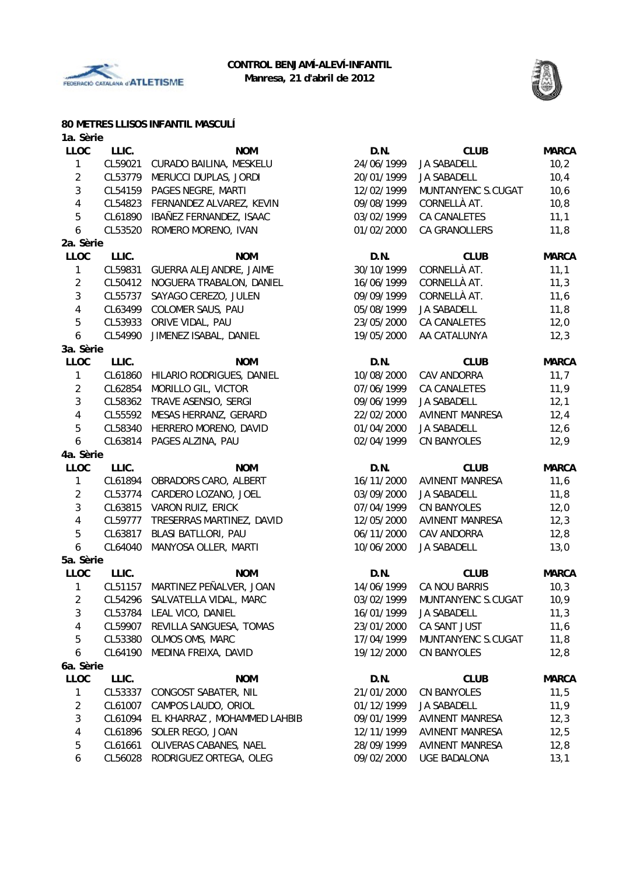



#### **80 METRES LLISOS INFANTIL MASCULÍ**

| 1a. Sèrie               |         |                                   |            |                        |              |
|-------------------------|---------|-----------------------------------|------------|------------------------|--------------|
| <b>LLOC</b>             | LLIC.   | <b>NOM</b>                        | D.N.       | <b>CLUB</b>            | <b>MARCA</b> |
| $\mathbf{1}$            | CL59021 | CURADO BAILINA, MESKELU           | 24/06/1999 | <b>JA SABADELL</b>     | 10,2         |
| $\overline{2}$          | CL53779 | MERUCCI DUPLAS, JORDI             | 20/01/1999 | JA SABADELL            | 10,4         |
| $\mathbf{3}$            |         | CL54159 PAGES NEGRE, MARTI        | 12/02/1999 | MUNTANYENC S.CUGAT     | 10,6         |
| $\overline{4}$          |         | CL54823 FERNANDEZ ALVAREZ, KEVIN  | 09/08/1999 | CORNELLÀ AT.           | 10, 8        |
| 5                       |         | CL61890 IBAÑEZ FERNANDEZ, ISAAC   | 03/02/1999 | CA CANALETES           | 11,1         |
| 6                       |         | CL53520 ROMERO MORENO, IVAN       | 01/02/2000 | CA GRANOLLERS          | 11,8         |
| 2a. Sèrie               |         |                                   |            |                        |              |
| <b>LLOC</b>             | LLIC.   | <b>NOM</b>                        | D.N.       | <b>CLUB</b>            | <b>MARCA</b> |
| 1                       |         | CL59831 GUERRA ALEJANDRE, JAIME   | 30/10/1999 | CORNELLÀ AT.           | 11,1         |
| $\overline{2}$          | CL50412 | NOGUERA TRABALON, DANIEL          | 16/06/1999 | CORNELLÀ AT.           | 11,3         |
| 3                       | CL55737 | SAYAGO CEREZO, JULEN              | 09/09/1999 | CORNELLÀ AT.           | 11,6         |
| $\overline{\mathbf{4}}$ | CL63499 | COLOMER SAUS, PAU                 | 05/08/1999 | JA SABADELL            | 11,8         |
| 5                       |         | CL53933 ORIVE VIDAL, PAU          | 23/05/2000 | CA CANALETES           | 12,0         |
| 6                       | CL54990 | JIMENEZ ISABAL, DANIEL            | 19/05/2000 | AA CATALUNYA           | 12,3         |
| 3a. Sèrie               |         |                                   |            |                        |              |
| <b>LLOC</b>             | LLIC.   | <b>NOM</b>                        | D.N.       | <b>CLUB</b>            | <b>MARCA</b> |
| $\mathbf{1}$            |         | CL61860 HILARIO RODRIGUES, DANIEL | 10/08/2000 | CAV ANDORRA            | 11,7         |
| $\overline{2}$          | CL62854 | MORILLO GIL, VICTOR               | 07/06/1999 | CA CANALETES           | 11,9         |
| 3                       |         | CL58362 TRAVE ASENSIO, SERGI      | 09/06/1999 | JA SABADELL            | 12,1         |
| $\overline{\mathbf{4}}$ |         | CL55592 MESAS HERRANZ, GERARD     | 22/02/2000 | <b>AVINENT MANRESA</b> | 12,4         |
| 5                       |         | CL58340 HERRERO MORENO, DAVID     | 01/04/2000 | JA SABADELL            | 12,6         |
| 6                       |         | CL63814 PAGES ALZINA, PAU         | 02/04/1999 | <b>CN BANYOLES</b>     | 12,9         |
| 4a. Sèrie               |         |                                   |            |                        |              |
| <b>LLOC</b>             | LLIC.   | <b>NOM</b>                        | D.N.       | <b>CLUB</b>            | <b>MARCA</b> |
| 1                       |         | CL61894 OBRADORS CARO, ALBERT     | 16/11/2000 | <b>AVINENT MANRESA</b> | 11,6         |
| $\overline{2}$          | CL53774 | CARDERO LOZANO, JOEL              | 03/09/2000 | JA SABADELL            | 11,8         |
| $\mathbf{3}$            | CL63815 | VARON RUIZ, ERICK                 | 07/04/1999 | <b>CN BANYOLES</b>     | 12,0         |
| $\overline{4}$          |         | CL59777 TRESERRAS MARTINEZ, DAVID | 12/05/2000 | <b>AVINENT MANRESA</b> | 12,3         |
| 5                       |         | CL63817 BLASI BATLLORI, PAU       | 06/11/2000 | CAV ANDORRA            | 12,8         |
| 6                       |         | CL64040 MANYOSA OLLER, MARTI      | 10/06/2000 | JA SABADELL            | 13,0         |
| 5a. Sèrie               |         |                                   |            |                        |              |
| <b>LLOC</b>             | LLIC.   | <b>NOM</b>                        | D.N.       | <b>CLUB</b>            | <b>MARCA</b> |
| 1                       | CL51157 | MARTINEZ PEÑALVER, JOAN           | 14/06/1999 | CA NOU BARRIS          | 10,3         |
| 2                       | CL54296 | SALVATELLA VIDAL, MARC            | 03/02/1999 | MUNTANYENC S.CUGAT     | 10,9         |
| 3                       | CL53784 | LEAL VICO, DANIEL                 | 16/01/1999 | JA SABADELL            | 11,3         |
| 4                       | CL59907 | REVILLA SANGUESA, TOMAS           | 23/01/2000 | CA SANT JUST           | 11,6         |
| 5                       | CL53380 | OLMOS OMS, MARC                   | 17/04/1999 | MUNTANYENC S.CUGAT     | 11,8         |
| 6                       | CL64190 | MEDINA FREIXA, DAVID              | 19/12/2000 | <b>CN BANYOLES</b>     | 12,8         |
| 6a. Sèrie               |         |                                   |            |                        |              |
| <b>LLOC</b>             | LLIC.   | <b>NOM</b>                        | D.N.       | <b>CLUB</b>            | <b>MARCA</b> |
| 1                       | CL53337 | CONGOST SABATER, NIL              | 21/01/2000 | <b>CN BANYOLES</b>     | 11,5         |
| $\overline{2}$          | CL61007 | CAMPOS LAUDO, ORIOL               | 01/12/1999 | JA SABADELL            | 11,9         |
| 3                       | CL61094 | EL KHARRAZ, MOHAMMED LAHBIB       | 09/01/1999 | <b>AVINENT MANRESA</b> | 12,3         |
| 4                       | CL61896 | SOLER REGO, JOAN                  | 12/11/1999 | <b>AVINENT MANRESA</b> | 12,5         |
| 5                       | CL61661 | OLIVERAS CABANES, NAEL            | 28/09/1999 | <b>AVINENT MANRESA</b> | 12,8         |
| 6                       |         | CL56028 RODRIGUEZ ORTEGA, OLEG    | 09/02/2000 | UGE BADALONA           | 13,1         |
|                         |         |                                   |            |                        |              |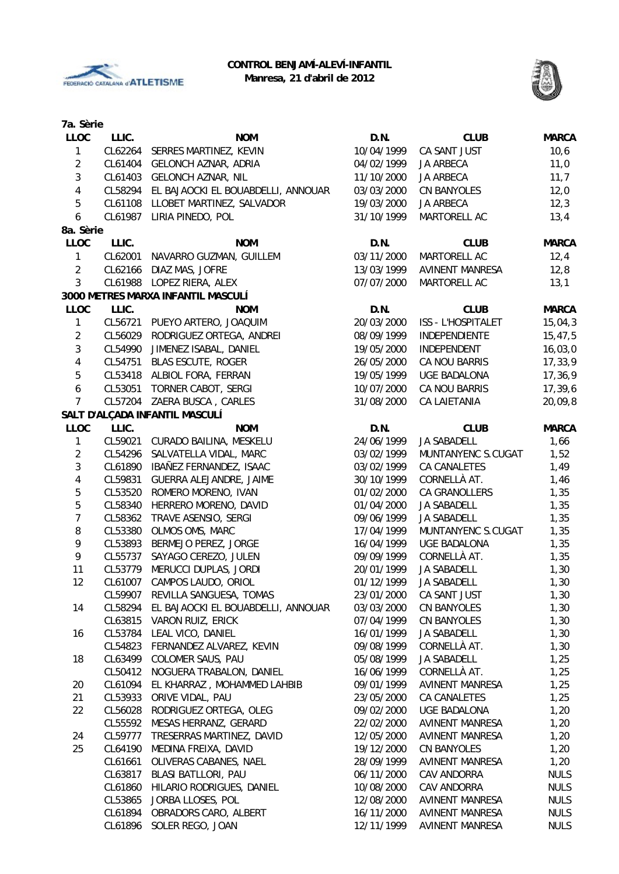



| 7a. Sèrie        |         |                                            |            |                        |              |
|------------------|---------|--------------------------------------------|------------|------------------------|--------------|
| <b>LLOC</b>      | LLIC.   | <b>NOM</b>                                 | D.N.       | <b>CLUB</b>            | <b>MARCA</b> |
| $\mathbf{1}$     |         | CL62264 SERRES MARTINEZ, KEVIN             | 10/04/1999 | CA SANT JUST           | 10, 6        |
| $\overline{2}$   |         | CL61404 GELONCH AZNAR, ADRIA               | 04/02/1999 | JA ARBECA              | 11,0         |
| $\mathbf{3}$     |         | CL61403 GELONCH AZNAR, NIL                 | 11/10/2000 | <b>JA ARBECA</b>       | 11,7         |
| $\overline{4}$   |         | CL58294 EL BAJAOCKI EL BOUABDELLI, ANNOUAR | 03/03/2000 | <b>CN BANYOLES</b>     | 12,0         |
| 5                |         | CL61108 LLOBET MARTINEZ, SALVADOR          | 19/03/2000 | JA ARBECA              | 12,3         |
| 6                |         | CL61987 LIRIA PINEDO, POL                  | 31/10/1999 | MARTORELL AC           | 13,4         |
| 8a. Sèrie        |         |                                            |            |                        |              |
| <b>LLOC</b>      | LLIC.   | <b>NOM</b>                                 | D.N.       | <b>CLUB</b>            | <b>MARCA</b> |
| $\mathbf{1}$     |         | CL62001 NAVARRO GUZMAN, GUILLEM            | 03/11/2000 | MARTORELL AC           | 12,4         |
| $\overline{2}$   |         | CL62166 DIAZ MAS, JOFRE                    | 13/03/1999 | <b>AVINENT MANRESA</b> | 12,8         |
| 3                |         | CL61988 LOPEZ RIERA, ALEX                  | 07/07/2000 | MARTORELL AC           | 13,1         |
|                  |         | 3000 METRES MARXA INFANTIL MASCULÍ         |            |                        |              |
| LLOC             | LLIC.   | <b>NOM</b>                                 | D.N.       | <b>CLUB</b>            | <b>MARCA</b> |
| 1                |         | CL56721 PUEYO ARTERO, JOAQUIM              | 20/03/2000 | ISS - L'HOSPITALET     | 15,04,3      |
| $\overline{2}$   | CL56029 | RODRIGUEZ ORTEGA, ANDREI                   | 08/09/1999 | <b>INDEPENDIENTE</b>   | 15, 47, 5    |
| $\mathbf{3}$     | CL54990 | JIMENEZ ISABAL, DANIEL                     | 19/05/2000 | INDEPENDENT            | 16,03,0      |
|                  |         |                                            |            | CA NOU BARRIS          |              |
| 4                |         | CL54751 BLAS ESCUTE, ROGER                 | 26/05/2000 |                        | 17,33,9      |
| 5                |         | CL53418 ALBIOL FORA, FERRAN                | 19/05/1999 | <b>UGE BADALONA</b>    | 17,36,9      |
| $\boldsymbol{6}$ |         | CL53051 TORNER CABOT, SERGI                | 10/07/2000 | CA NOU BARRIS          | 17,39,6      |
| $\overline{7}$   |         | CL57204 ZAERA BUSCA, CARLES                | 31/08/2000 | CA LAIETANIA           | 20,09,8      |
|                  |         | SALT D'ALÇADA INFANTIL MASCULÍ             |            |                        |              |
| LLOC             | LLIC.   | <b>NOM</b>                                 | D.N.       | <b>CLUB</b>            | <b>MARCA</b> |
| 1                |         | CL59021 CURADO BAILINA, MESKELU            | 24/06/1999 | JA SABADELL            | 1,66         |
| $\overline{2}$   | CL54296 | SALVATELLA VIDAL, MARC                     | 03/02/1999 | MUNTANYENC S.CUGAT     | 1,52         |
| $\mathbf{3}$     | CL61890 | IBAÑEZ FERNANDEZ, ISAAC                    | 03/02/1999 | CA CANALETES           | 1,49         |
| $\pmb{4}$        | CL59831 | GUERRA ALEJANDRE, JAIME                    | 30/10/1999 | CORNELLÀ AT.           | 1,46         |
| 5                | CL53520 | ROMERO MORENO, IVAN                        | 01/02/2000 | CA GRANOLLERS          | 1,35         |
| 5                | CL58340 | HERRERO MORENO, DAVID                      | 01/04/2000 | JA SABADELL            | 1,35         |
| $\boldsymbol{7}$ | CL58362 | TRAVE ASENSIO, SERGI                       | 09/06/1999 | JA SABADELL            | 1,35         |
| 8                |         | CL53380 OLMOS OMS, MARC                    | 17/04/1999 | MUNTANYENC S.CUGAT     | 1,35         |
| 9                |         | CL53893 BERMEJO PEREZ, JORGE               | 16/04/1999 | <b>UGE BADALONA</b>    | 1,35         |
| 9                |         | CL55737 SAYAGO CEREZO, JULEN               | 09/09/1999 | CORNELLÀ AT.           | 1,35         |
| 11               | CL53779 | MERUCCI DUPLAS, JORDI                      | 20/01/1999 | JA SABADELL            | 1,30         |
| 12               |         | CL61007 CAMPOS LAUDO, ORIOL                | 01/12/1999 | JA SABADELL            | 1,30         |
|                  |         | CL59907 REVILLA SANGUESA, TOMAS            | 23/01/2000 | CA SANT JUST           | 1,30         |
| 14               |         | CL58294 EL BAJAOCKI EL BOUABDELLI, ANNOUAR | 03/03/2000 | CN BANYOLES            | 1,30         |
|                  | CL63815 | VARON RUIZ, ERICK                          | 07/04/1999 | CN BANYOLES            | 1,30         |
| 16               | CL53784 | LEAL VICO, DANIEL                          | 16/01/1999 | JA SABADELL            | 1,30         |
|                  | CL54823 | FERNANDEZ ALVAREZ, KEVIN                   | 09/08/1999 | CORNELLÀ AT.           | 1,30         |
| 18               | CL63499 | COLOMER SAUS, PAU                          | 05/08/1999 | <b>JA SABADELL</b>     | 1,25         |
|                  | CL50412 | NOGUERA TRABALON, DANIEL                   | 16/06/1999 | CORNELLÀ AT.           | 1,25         |
| 20               | CL61094 | EL KHARRAZ, MOHAMMED LAHBIB                | 09/01/1999 | <b>AVINENT MANRESA</b> | 1,25         |
| 21               | CL53933 | ORIVE VIDAL, PAU                           | 23/05/2000 | CA CANALETES           | 1,25         |
| 22               | CL56028 | RODRIGUEZ ORTEGA, OLEG                     | 09/02/2000 | <b>UGE BADALONA</b>    | 1,20         |
|                  | CL55592 | MESAS HERRANZ, GERARD                      | 22/02/2000 | AVINENT MANRESA        | 1,20         |
| 24               | CL59777 | TRESERRAS MARTINEZ, DAVID                  | 12/05/2000 | AVINENT MANRESA        | 1,20         |
| 25               | CL64190 | MEDINA FREIXA, DAVID                       | 19/12/2000 | <b>CN BANYOLES</b>     | 1,20         |
|                  | CL61661 | OLIVERAS CABANES, NAEL                     | 28/09/1999 | AVINENT MANRESA        | 1,20         |
|                  | CL63817 | BLASI BATLLORI, PAU                        | 06/11/2000 | CAV ANDORRA            | <b>NULS</b>  |
|                  | CL61860 | HILARIO RODRIGUES, DANIEL                  | 10/08/2000 | CAV ANDORRA            | <b>NULS</b>  |
|                  | CL53865 | JORBA LLOSES, POL                          | 12/08/2000 | <b>AVINENT MANRESA</b> | <b>NULS</b>  |
|                  | CL61894 | OBRADORS CARO, ALBERT                      | 16/11/2000 | AVINENT MANRESA        | <b>NULS</b>  |
|                  |         | CL61896 SOLER REGO, JOAN                   | 12/11/1999 | AVINENT MANRESA        | <b>NULS</b>  |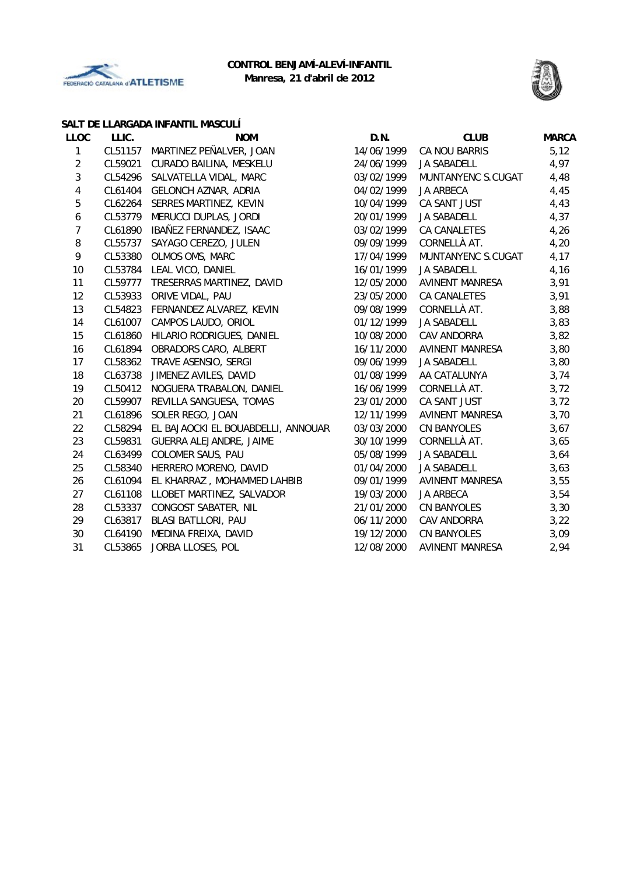



#### **SALT DE LLARGADA INFANTIL MASCULÍ**

| <b>LLOC</b>      | LLIC.   | <b>NOM</b>                         | D.N.       | <b>CLUB</b>            | <b>MARCA</b> |
|------------------|---------|------------------------------------|------------|------------------------|--------------|
| $\mathbf{1}$     | CL51157 | MARTINEZ PEÑALVER, JOAN            | 14/06/1999 | CA NOU BARRIS          | 5,12         |
| $\overline{2}$   | CL59021 | CURADO BAILINA, MESKELU            | 24/06/1999 | <b>JA SABADELL</b>     | 4,97         |
| 3                | CL54296 | SALVATELLA VIDAL, MARC             | 03/02/1999 | MUNTANYENC S.CUGAT     | 4,48         |
| $\pmb{4}$        | CL61404 | <b>GELONCH AZNAR, ADRIA</b>        | 04/02/1999 | <b>JA ARBECA</b>       | 4,45         |
| 5                | CL62264 | SERRES MARTINEZ, KEVIN             | 10/04/1999 | CA SANT JUST           | 4,43         |
| $\boldsymbol{6}$ | CL53779 | MERUCCI DUPLAS, JORDI              | 20/01/1999 | JA SABADELL            | 4,37         |
| $\overline{7}$   | CL61890 | IBAÑEZ FERNANDEZ, ISAAC            | 03/02/1999 | CA CANALETES           | 4,26         |
| 8                | CL55737 | SAYAGO CEREZO, JULEN               | 09/09/1999 | CORNELLÀ AT.           | 4,20         |
| 9                | CL53380 | OLMOS OMS, MARC                    | 17/04/1999 | MUNTANYENC S.CUGAT     | 4,17         |
| 10               | CL53784 | LEAL VICO, DANIEL                  | 16/01/1999 | JA SABADELL            | 4,16         |
| 11               | CL59777 | TRESERRAS MARTINEZ, DAVID          | 12/05/2000 | <b>AVINENT MANRESA</b> | 3,91         |
| 12               | CL53933 | ORIVE VIDAL, PAU                   | 23/05/2000 | CA CANALETES           | 3,91         |
| 13               | CL54823 | FERNANDEZ ALVAREZ, KEVIN           | 09/08/1999 | CORNELLÀ AT.           | 3,88         |
| 14               | CL61007 | CAMPOS LAUDO, ORIOL                | 01/12/1999 | JA SABADELL            | 3,83         |
| 15               | CL61860 | HILARIO RODRIGUES, DANIEL          | 10/08/2000 | CAV ANDORRA            | 3,82         |
| 16               | CL61894 | OBRADORS CARO, ALBERT              | 16/11/2000 | <b>AVINENT MANRESA</b> | 3,80         |
| 17               | CL58362 | TRAVE ASENSIO, SERGI               | 09/06/1999 | <b>JA SABADELL</b>     | 3,80         |
| 18               | CL63738 | JIMENEZ AVILES, DAVID              | 01/08/1999 | AA CATALUNYA           | 3,74         |
| 19               | CL50412 | NOGUERA TRABALON, DANIEL           | 16/06/1999 | CORNELLÀ AT.           | 3,72         |
| 20               | CL59907 | REVILLA SANGUESA, TOMAS            | 23/01/2000 | CA SANT JUST           | 3, 72        |
| 21               | CL61896 | SOLER REGO, JOAN                   | 12/11/1999 | <b>AVINENT MANRESA</b> | 3,70         |
| 22               | CL58294 | EL BAJAOCKI EL BOUABDELLI, ANNOUAR | 03/03/2000 | <b>CN BANYOLES</b>     | 3,67         |
| 23               | CL59831 | GUERRA ALEJANDRE, JAIME            | 30/10/1999 | CORNELLÀ AT.           | 3,65         |
| 24               | CL63499 | COLOMER SAUS, PAU                  | 05/08/1999 | JA SABADELL            | 3,64         |
| 25               | CL58340 | HERRERO MORENO, DAVID              | 01/04/2000 | JA SABADELL            | 3,63         |
| 26               | CL61094 | EL KHARRAZ, MOHAMMED LAHBIB        | 09/01/1999 | AVINENT MANRESA        | 3,55         |
| 27               | CL61108 | LLOBET MARTINEZ, SALVADOR          | 19/03/2000 | <b>JA ARBECA</b>       | 3,54         |
| 28               | CL53337 | CONGOST SABATER, NIL               | 21/01/2000 | CN BANYOLES            | 3,30         |
| 29               | CL63817 | BLASI BATLLORI, PAU                | 06/11/2000 | CAV ANDORRA            | 3,22         |
| 30               | CL64190 | MEDINA FREIXA, DAVID               | 19/12/2000 | <b>CN BANYOLES</b>     | 3,09         |
| 31               | CL53865 | JORBA LLOSES, POL                  | 12/08/2000 | <b>AVINENT MANRESA</b> | 2,94         |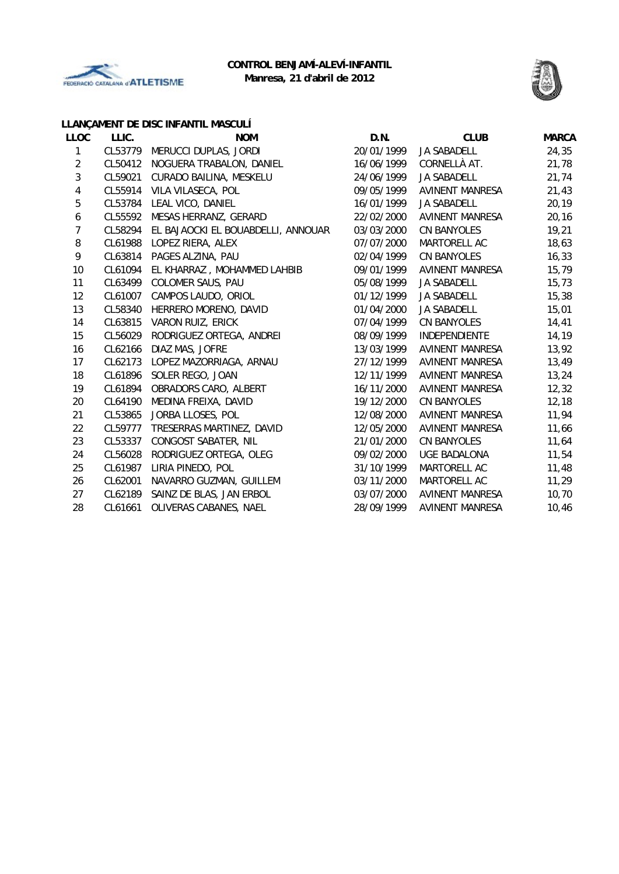



|                |         | LLANÇAMENT DE DISC INFANTIL MASCULÍ        |            |                        |              |
|----------------|---------|--------------------------------------------|------------|------------------------|--------------|
| <b>LLOC</b>    | LLIC.   | <b>NOM</b>                                 | D.N.       | <b>CLUB</b>            | <b>MARCA</b> |
| 1              |         | CL53779 MERUCCI DUPLAS, JORDI              | 20/01/1999 | <b>JA SABADELL</b>     | 24,35        |
| $\overline{2}$ | CL50412 | NOGUERA TRABALON, DANIEL                   | 16/06/1999 | CORNELLÀ AT.           | 21,78        |
| 3              | CL59021 | CURADO BAILINA, MESKELU                    | 24/06/1999 | JA SABADELL            | 21,74        |
| 4              |         | CL55914 VILA VILASECA, POL                 | 09/05/1999 | <b>AVINENT MANRESA</b> | 21,43        |
| 5              | CL53784 | LEAL VICO, DANIEL                          | 16/01/1999 | JA SABADELL            | 20,19        |
| 6              | CL55592 | MESAS HERRANZ, GERARD                      | 22/02/2000 | AVINENT MANRESA        | 20, 16       |
| 7              |         | CL58294 EL BAJAOCKI EL BOUABDELLI, ANNOUAR | 03/03/2000 | <b>CN BANYOLES</b>     | 19,21        |
| 8              | CL61988 | LOPEZ RIERA, ALEX                          | 07/07/2000 | MARTORELL AC           | 18,63        |
| 9              | CL63814 | PAGES ALZINA, PAU                          | 02/04/1999 | CN BANYOLES            | 16, 33       |
| 10             | CL61094 | EL KHARRAZ, MOHAMMED LAHBIB                | 09/01/1999 | <b>AVINENT MANRESA</b> | 15,79        |
| 11             |         | CL63499 COLOMER SAUS, PAU                  | 05/08/1999 | <b>JA SABADELL</b>     | 15,73        |
| 12             | CL61007 | CAMPOS LAUDO, ORIOL                        | 01/12/1999 | JA SABADELL            | 15,38        |
| 13             |         | CL58340 HERRERO MORENO, DAVID              | 01/04/2000 | JA SABADELL            | 15,01        |
| 14             | CL63815 | VARON RUIZ, ERICK                          | 07/04/1999 | <b>CN BANYOLES</b>     | 14,41        |
| 15             |         | CL56029 RODRIGUEZ ORTEGA, ANDREI           | 08/09/1999 | <b>INDEPENDIENTE</b>   | 14,19        |
| 16             |         | CL62166 DIAZ MAS, JOFRE                    | 13/03/1999 | AVINENT MANRESA        | 13,92        |
| 17             | CL62173 | LOPEZ MAZORRIAGA, ARNAU                    | 27/12/1999 | AVINENT MANRESA        | 13,49        |
| 18             | CL61896 | SOLER REGO, JOAN                           | 12/11/1999 | AVINENT MANRESA        | 13,24        |
| 19             | CL61894 | OBRADORS CARO, ALBERT                      | 16/11/2000 | <b>AVINENT MANRESA</b> | 12,32        |
| 20             | CL64190 | MEDINA FREIXA, DAVID                       | 19/12/2000 | <b>CN BANYOLES</b>     | 12,18        |
| 21             | CL53865 | JORBA LLOSES, POL                          | 12/08/2000 | AVINENT MANRESA        | 11,94        |
| 22             | CL59777 | TRESERRAS MARTINEZ, DAVID                  | 12/05/2000 | <b>AVINENT MANRESA</b> | 11,66        |
| 23             | CL53337 | CONGOST SABATER, NIL                       | 21/01/2000 | <b>CN BANYOLES</b>     | 11,64        |
| 24             | CL56028 | RODRIGUEZ ORTEGA, OLEG                     | 09/02/2000 | UGE BADALONA           | 11,54        |
| 25             | CL61987 | LIRIA PINEDO, POL                          | 31/10/1999 | MARTORELL AC           | 11,48        |
| 26             | CL62001 | NAVARRO GUZMAN, GUILLEM                    | 03/11/2000 | MARTORELL AC           | 11,29        |
| 27             | CL62189 | SAINZ DE BLAS, JAN ERBOL                   | 03/07/2000 | AVINENT MANRESA        | 10,70        |
| 28             | CL61661 | OLIVERAS CABANES, NAEL                     | 28/09/1999 | AVINENT MANRESA        | 10,46        |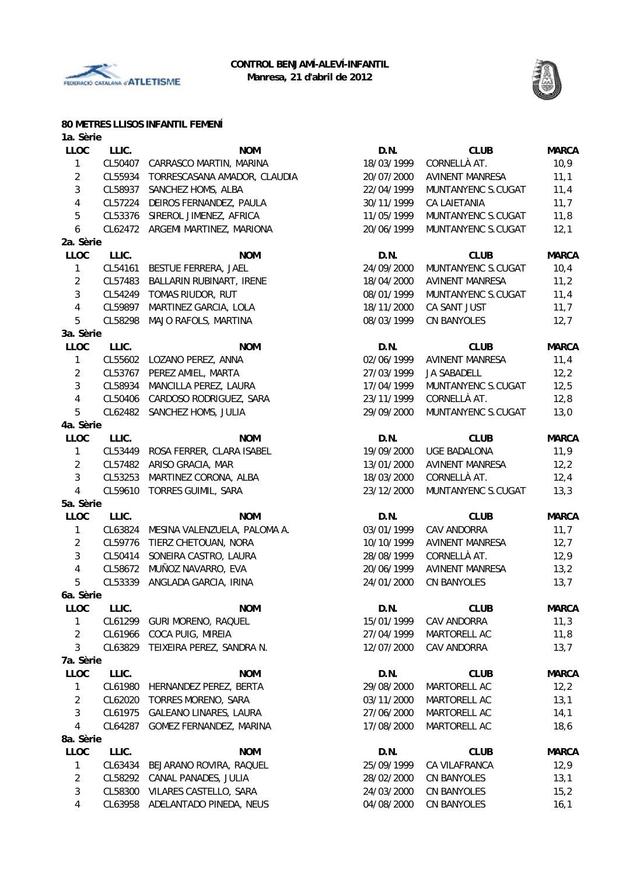



#### **80 METRES LLISOS INFANTIL FEMENÍ**

| 1a. Sèrie      |         |                              |            |                        |              |
|----------------|---------|------------------------------|------------|------------------------|--------------|
| LLOC           | LLIC.   | <b>NOM</b>                   | D.N.       | <b>CLUB</b>            | <b>MARCA</b> |
| $\mathbf{1}$   | CL50407 | CARRASCO MARTIN, MARINA      | 18/03/1999 | CORNELLÀ AT.           | 10,9         |
| $\overline{2}$ | CL55934 | TORRESCASANA AMADOR, CLAUDIA | 20/07/2000 | AVINENT MANRESA        | 11,1         |
| $\mathfrak{Z}$ | CL58937 | SANCHEZ HOMS, ALBA           | 22/04/1999 | MUNTANYENC S.CUGAT     | 11,4         |
| 4              | CL57224 | DEIROS FERNANDEZ, PAULA      | 30/11/1999 | CA LAIETANIA           | 11,7         |
| 5              | CL53376 | SIREROL JIMENEZ, AFRICA      | 11/05/1999 | MUNTANYENC S.CUGAT     | 11,8         |
| 6              | CL62472 | ARGEMI MARTINEZ, MARIONA     | 20/06/1999 | MUNTANYENC S.CUGAT     | 12,1         |
| 2a. Sèrie      |         |                              |            |                        |              |
| <b>LLOC</b>    | LLIC.   | <b>NOM</b>                   | D.N.       | <b>CLUB</b>            | <b>MARCA</b> |
| 1              | CL54161 | BESTUE FERRERA, JAEL         | 24/09/2000 | MUNTANYENC S.CUGAT     | 10,4         |
| $\overline{2}$ | CL57483 | BALLARIN RUBINART, IRENE     | 18/04/2000 | <b>AVINENT MANRESA</b> | 11,2         |
| 3              | CL54249 | TOMAS RIUDOR, RUT            | 08/01/1999 | MUNTANYENC S.CUGAT     | 11,4         |
| 4              | CL59897 | MARTINEZ GARCIA, LOLA        | 18/11/2000 | CA SANT JUST           | 11,7         |
| 5              | CL58298 | MAJO RAFOLS, MARTINA         | 08/03/1999 | <b>CN BANYOLES</b>     | 12,7         |
| 3a. Sèrie      |         |                              |            |                        |              |
| LLOC           | LLIC.   | <b>NOM</b>                   | D.N.       | <b>CLUB</b>            | <b>MARCA</b> |
| $\mathbf{1}$   | CL55602 | LOZANO PEREZ, ANNA           | 02/06/1999 | <b>AVINENT MANRESA</b> | 11,4         |
| $\overline{2}$ | CL53767 | PEREZ AMIEL, MARTA           | 27/03/1999 | JA SABADELL            | 12,2         |
| 3              | CL58934 | MANCILLA PEREZ, LAURA        | 17/04/1999 | MUNTANYENC S.CUGAT     | 12,5         |
| 4              | CL50406 | CARDOSO RODRIGUEZ, SARA      | 23/11/1999 | CORNELLÀ AT.           | 12,8         |
| 5              | CL62482 | SANCHEZ HOMS, JULIA          | 29/09/2000 | MUNTANYENC S.CUGAT     | 13,0         |
| 4a. Sèrie      |         |                              |            |                        |              |
| LLOC           | LLIC.   | <b>NOM</b>                   | D.N.       | <b>CLUB</b>            | <b>MARCA</b> |
| 1              | CL53449 | ROSA FERRER, CLARA ISABEL    | 19/09/2000 | <b>UGE BADALONA</b>    | 11,9         |
| $\overline{2}$ | CL57482 | ARISO GRACIA, MAR            | 13/01/2000 | <b>AVINENT MANRESA</b> | 12,2         |
| 3              | CL53253 | MARTINEZ CORONA, ALBA        | 18/03/2000 | CORNELLÀ AT.           | 12,4         |
| 4              | CL59610 | TORRES GUIMIL, SARA          | 23/12/2000 | MUNTANYENC S.CUGAT     | 13,3         |
| 5a. Sèrie      |         |                              |            |                        |              |
| LLOC           | LLIC.   |                              |            | <b>CLUB</b>            | <b>MARCA</b> |
|                |         | <b>NOM</b>                   | D.N.       |                        |              |
| 1              | CL63824 | MESINA VALENZUELA, PALOMA A. | 03/01/1999 | CAV ANDORRA            | 11,7         |
| $\overline{2}$ | CL59776 | TIERZ CHETOUAN, NORA         | 10/10/1999 | <b>AVINENT MANRESA</b> | 12,7         |
| 3              | CL50414 | SONEIRA CASTRO, LAURA        | 28/08/1999 | CORNELLÀ AT.           | 12,9         |
| 4              | CL58672 | MUÑOZ NAVARRO, EVA           | 20/06/1999 | <b>AVINENT MANRESA</b> | 13,2         |
| 5              | CL53339 | ANGLADA GARCIA, IRINA        | 24/01/2000 | <b>CN BANYOLES</b>     | 13,7         |
| 6a. Sèrie      |         |                              |            |                        |              |
| LLOC           | LLIC.   | <b>NOM</b>                   | D.N.       | <b>CLUB</b>            | <b>MARCA</b> |
| 1              | CL61299 | <b>GURI MORENO, RAQUEL</b>   | 15/01/1999 | CAV ANDORRA            | 11,3         |
| $\overline{2}$ | CL61966 | COCA PUIG, MIREIA            | 27/04/1999 | MARTORELL AC           | 11,8         |
| 3              | CL63829 | TEIXEIRA PEREZ, SANDRA N.    | 12/07/2000 | CAV ANDORRA            | 13,7         |
| 7a. Sèrie      |         |                              |            |                        |              |
| LLOC           | LLIC.   | <b>NOM</b>                   | D.N.       | <b>CLUB</b>            | <b>MARCA</b> |
| 1              | CL61980 | HERNANDEZ PEREZ, BERTA       | 29/08/2000 | MARTORELL AC           | 12,2         |
| $\overline{2}$ | CL62020 | TORRES MORENO, SARA          | 03/11/2000 | MARTORELL AC           | 13,1         |
| $\mathbf{3}$   | CL61975 | GALEANO LINARES, LAURA       | 27/06/2000 | MARTORELL AC           | 14,1         |
| 4              | CL64287 | GOMEZ FERNANDEZ, MARINA      | 17/08/2000 | MARTORELL AC           | 18,6         |
| 8a. Sèrie      |         |                              |            |                        |              |
| LLOC           | LLIC.   | <b>NOM</b>                   | D.N.       | <b>CLUB</b>            | <b>MARCA</b> |
| 1              | CL63434 | BEJARANO ROVIRA, RAQUEL      | 25/09/1999 | CA VILAFRANCA          | 12,9         |
| 2              | CL58292 | CANAL PANADES, JULIA         | 28/02/2000 | CN BANYOLES            | 13,1         |
| 3              | CL58300 | VILARES CASTELLO, SARA       | 24/03/2000 | <b>CN BANYOLES</b>     | 15,2         |
| 4              | CL63958 | ADELANTADO PINEDA, NEUS      | 04/08/2000 | CN BANYOLES            | 16,1         |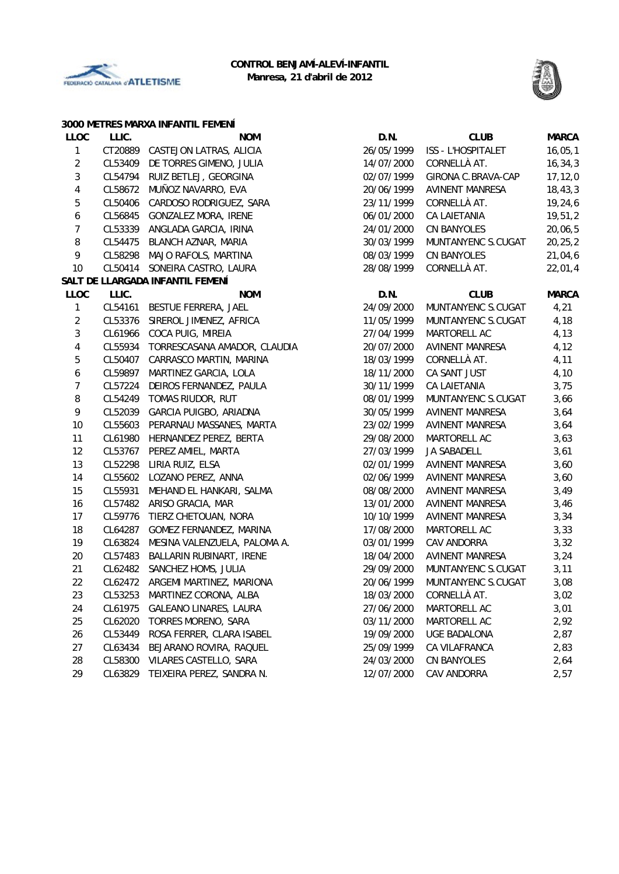



|                  |         | 3000 METRES MARXA INFANTIL FEMENÍ    |            |                        |              |
|------------------|---------|--------------------------------------|------------|------------------------|--------------|
| <b>LLOC</b>      | LLIC.   | <b>NOM</b>                           | D.N.       | <b>CLUB</b>            | <b>MARCA</b> |
| $\mathbf{1}$     |         | CT20889 CASTEJON LATRAS, ALICIA      | 26/05/1999 | ISS - L'HOSPITALET     | 16,05,1      |
| $\overline{2}$   |         | CL53409 DE TORRES GIMENO, JULIA      | 14/07/2000 | CORNELLÀ AT.           | 16, 34, 3    |
| $\mathbf{3}$     |         | CL54794 RUIZ BETLEJ, GEORGINA        | 02/07/1999 | GIRONA C.BRAVA-CAP     | 17, 12, 0    |
| $\overline{4}$   | CL58672 | MUÑOZ NAVARRO, EVA                   | 20/06/1999 | AVINENT MANRESA        | 18, 43, 3    |
| $\sqrt{5}$       | CL50406 | CARDOSO RODRIGUEZ, SARA              | 23/11/1999 | CORNELLÀ AT.           | 19, 24, 6    |
| $\boldsymbol{6}$ | CL56845 | GONZALEZ MORA, IRENE                 | 06/01/2000 | CA LAIETANIA           | 19,51,2      |
| $\overline{7}$   | CL53339 | ANGLADA GARCIA, IRINA                | 24/01/2000 | <b>CN BANYOLES</b>     | 20,06,5      |
| 8                | CL54475 | BLANCH AZNAR, MARIA                  | 30/03/1999 | MUNTANYENC S.CUGAT     | 20, 25, 2    |
| 9                | CL58298 | MAJO RAFOLS, MARTINA                 | 08/03/1999 | CN BANYOLES            | 21,04,6      |
| 10               |         | CL50414 SONEIRA CASTRO, LAURA        | 28/08/1999 | CORNELLÀ AT.           | 22,01,4      |
|                  |         | SALT DE LLARGADA INFANTIL FEMENÍ     |            |                        |              |
| LLOC             | LLIC.   | <b>NOM</b>                           | D.N.       | <b>CLUB</b>            | <b>MARCA</b> |
| $\mathbf{1}$     |         | CL54161 BESTUE FERRERA, JAEL         | 24/09/2000 | MUNTANYENC S.CUGAT     | 4,21         |
| $\overline{2}$   |         | CL53376 SIREROL JIMENEZ, AFRICA      | 11/05/1999 | MUNTANYENC S.CUGAT     | 4,18         |
| $\mathbf{3}$     |         | CL61966 COCA PUIG, MIREIA            | 27/04/1999 | MARTORELL AC           | 4,13         |
| 4                |         | CL55934 TORRESCASANA AMADOR, CLAUDIA | 20/07/2000 | <b>AVINENT MANRESA</b> | 4,12         |
| $\sqrt{5}$       | CL50407 | CARRASCO MARTIN, MARINA              | 18/03/1999 | CORNELLÀ AT.           | 4,11         |
| 6                | CL59897 | MARTINEZ GARCIA, LOLA                | 18/11/2000 | CA SANT JUST           | 4,10         |
| $\overline{7}$   | CL57224 | DEIROS FERNANDEZ, PAULA              | 30/11/1999 | CA LAIETANIA           | 3,75         |
| 8                | CL54249 | TOMAS RIUDOR, RUT                    | 08/01/1999 | MUNTANYENC S.CUGAT     | 3,66         |
| 9                |         | CL52039 GARCIA PUIGBO, ARIADNA       | 30/05/1999 | AVINENT MANRESA        | 3,64         |
| $10\,$           |         | CL55603 PERARNAU MASSANES, MARTA     | 23/02/1999 | AVINENT MANRESA        | 3,64         |
| 11               |         | CL61980 HERNANDEZ PEREZ, BERTA       | 29/08/2000 | MARTORELL AC           | 3,63         |
| 12               | CL53767 | PEREZ AMIEL, MARTA                   | 27/03/1999 | JA SABADELL            | 3,61         |
| 13               | CL52298 | LIRIA RUIZ, ELSA                     | 02/01/1999 | AVINENT MANRESA        | 3,60         |
| 14               | CL55602 | LOZANO PEREZ, ANNA                   | 02/06/1999 | AVINENT MANRESA        | 3,60         |
| 15               | CL55931 | MEHAND EL HANKARI, SALMA             | 08/08/2000 | AVINENT MANRESA        | 3,49         |
| 16               | CL57482 | ARISO GRACIA, MAR                    | 13/01/2000 | AVINENT MANRESA        | 3,46         |
| 17               | CL59776 | TIERZ CHETOUAN, NORA                 | 10/10/1999 | AVINENT MANRESA        | 3,34         |
| 18               |         | CL64287 GOMEZ FERNANDEZ, MARINA      | 17/08/2000 | MARTORELL AC           | 3,33         |
| 19               |         | CL63824 MESINA VALENZUELA, PALOMA A. | 03/01/1999 | CAV ANDORRA            | 3,32         |
| 20               |         | CL57483 BALLARIN RUBINART, IRENE     | 18/04/2000 | AVINENT MANRESA        | 3,24         |
| 21               |         | CL62482 SANCHEZ HOMS, JULIA          | 29/09/2000 | MUNTANYENC S.CUGAT     | 3,11         |
| 22               | CL62472 | ARGEMI MARTINEZ, MARIONA             | 20/06/1999 | MUNTANYENC S.CUGAT     | 3,08         |
| 23               | CL53253 | MARTINEZ CORONA, ALBA                | 18/03/2000 | CORNELLÀ AT.           | 3,02         |
| 24               | CL61975 | GALEANO LINARES, LAURA               | 27/06/2000 | MARTORELL AC           | 3,01         |
| 25               | CL62020 | TORRES MORENO, SARA                  | 03/11/2000 | MARTORELL AC           | 2,92         |
| 26               | CL53449 | ROSA FERRER, CLARA ISABEL            | 19/09/2000 | <b>UGE BADALONA</b>    | 2,87         |
| 27               | CL63434 | BEJARANO ROVIRA, RAQUEL              | 25/09/1999 | CA VILAFRANCA          | 2,83         |
| 28               | CL58300 | VILARES CASTELLO, SARA               | 24/03/2000 | <b>CN BANYOLES</b>     | 2,64         |
| 29               | CL63829 | TEIXEIRA PEREZ, SANDRA N.            | 12/07/2000 | CAV ANDORRA            | 2,57         |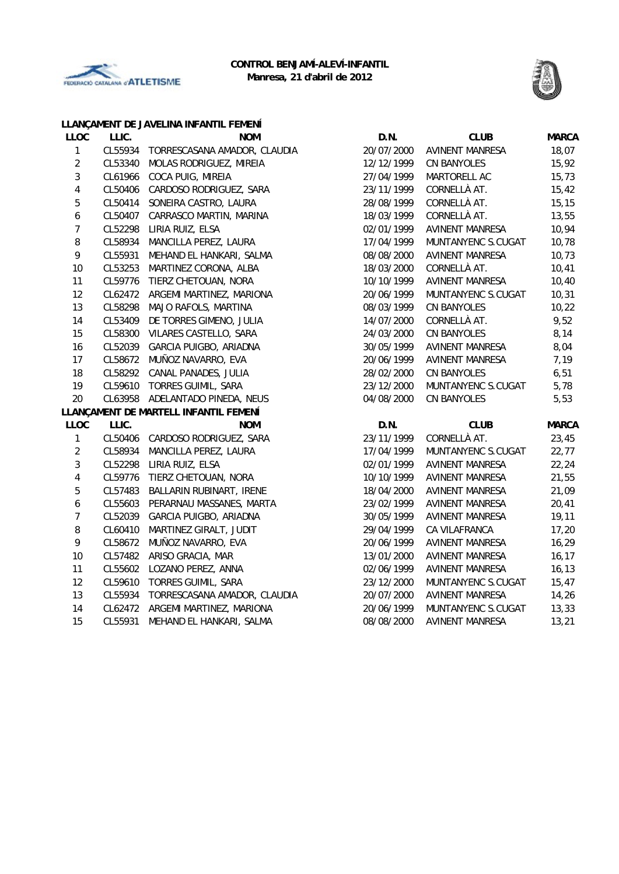



|                |         | LLANÇAMENT DE JAVELINA INFANTIL FEMENÍ |            |                        |              |
|----------------|---------|----------------------------------------|------------|------------------------|--------------|
| <b>LLOC</b>    | LLIC.   | <b>NOM</b>                             | D.N.       | <b>CLUB</b>            | <b>MARCA</b> |
| $\mathbf{1}$   |         | CL55934 TORRESCASANA AMADOR, CLAUDIA   | 20/07/2000 | <b>AVINENT MANRESA</b> | 18,07        |
| $\overline{a}$ |         | CL53340 MOLAS RODRIGUEZ, MIREIA        | 12/12/1999 | CN BANYOLES            | 15,92        |
| $\mathbf{3}$   |         | CL61966 COCA PUIG, MIREIA              | 27/04/1999 | MARTORELL AC           | 15,73        |
| 4              |         | CL50406 CARDOSO RODRIGUEZ, SARA        | 23/11/1999 | CORNELLÀ AT.           | 15,42        |
| 5              |         | CL50414 SONEIRA CASTRO, LAURA          | 28/08/1999 | CORNELLÀ AT.           | 15, 15       |
| 6              |         | CL50407 CARRASCO MARTIN, MARINA        | 18/03/1999 | CORNELLÀ AT.           | 13,55        |
| $\overline{7}$ |         | CL52298 LIRIA RUIZ, ELSA               | 02/01/1999 | AVINENT MANRESA        | 10,94        |
| $\, 8$         |         | CL58934 MANCILLA PEREZ, LAURA          | 17/04/1999 | MUNTANYENC S.CUGAT     | 10,78        |
| 9              | CL55931 | MEHAND EL HANKARI, SALMA               | 08/08/2000 | AVINENT MANRESA        | 10,73        |
| $10$           | CL53253 | MARTINEZ CORONA, ALBA                  | 18/03/2000 | CORNELLÀ AT.           | 10,41        |
| 11             |         | CL59776 TIERZ CHETOUAN, NORA           | 10/10/1999 | AVINENT MANRESA        | 10,40        |
| 12             |         | CL62472 ARGEMI MARTINEZ, MARIONA       | 20/06/1999 | MUNTANYENC S.CUGAT     | 10,31        |
| 13             |         | CL58298 MAJO RAFOLS, MARTINA           | 08/03/1999 | CN BANYOLES            | 10,22        |
| 14             |         | CL53409 DE TORRES GIMENO, JULIA        | 14/07/2000 | CORNELLÀ AT.           | 9,52         |
| 15             |         | CL58300 VILARES CASTELLO, SARA         | 24/03/2000 | CN BANYOLES            | 8,14         |
| 16             |         | CL52039 GARCIA PUIGBO, ARIADNA         | 30/05/1999 | AVINENT MANRESA        | 8,04         |
| 17             |         | CL58672 MUÑOZ NAVARRO, EVA             | 20/06/1999 | AVINENT MANRESA        | 7,19         |
| 18             |         | CL58292 CANAL PANADES, JULIA           | 28/02/2000 | CN BANYOLES            | 6,51         |
| 19             |         | CL59610 TORRES GUIMIL, SARA            | 23/12/2000 | MUNTANYENC S.CUGAT     | 5,78         |
| 20             |         | CL63958 ADELANTADO PINEDA, NEUS        | 04/08/2000 | CN BANYOLES            | 5,53         |
|                |         | LLANÇAMENT DE MARTELL INFANTIL FEMENÍ  |            |                        |              |
| LLOC           | LLIC.   | <b>NOM</b>                             | D.N.       | <b>CLUB</b>            | <b>MARCA</b> |
| $\mathbf{1}$   |         | CL50406 CARDOSO RODRIGUEZ, SARA        | 23/11/1999 | CORNELLÀ AT.           | 23,45        |
| $\overline{2}$ |         | CL58934 MANCILLA PEREZ, LAURA          | 17/04/1999 | MUNTANYENC S.CUGAT     | 22,77        |
| $\mathfrak{Z}$ |         | CL52298 LIRIA RUIZ, ELSA               | 02/01/1999 | <b>AVINENT MANRESA</b> | 22,24        |
| 4              |         | CL59776 TIERZ CHETOUAN, NORA           | 10/10/1999 | AVINENT MANRESA        | 21,55        |
| 5              |         | CL57483 BALLARIN RUBINART, IRENE       | 18/04/2000 | AVINENT MANRESA        | 21,09        |
| 6              |         | CL55603 PERARNAU MASSANES, MARTA       | 23/02/1999 | AVINENT MANRESA        | 20,41        |
| $\overline{7}$ |         | CL52039 GARCIA PUIGBO, ARIADNA         | 30/05/1999 | AVINENT MANRESA        | 19,11        |
| 8              |         | CL60410 MARTINEZ GIRALT, JUDIT         | 29/04/1999 | CA VILAFRANCA          | 17,20        |
| 9              |         | CL58672 MUÑOZ NAVARRO, EVA             | 20/06/1999 | AVINENT MANRESA        | 16,29        |
| $10$           |         | CL57482 ARISO GRACIA, MAR              | 13/01/2000 | AVINENT MANRESA        | 16, 17       |
| 11             |         | CL55602 LOZANO PEREZ, ANNA             | 02/06/1999 | AVINENT MANRESA        | 16, 13       |
| 12             |         | CL59610 TORRES GUIMIL, SARA            | 23/12/2000 | MUNTANYENC S.CUGAT     | 15,47        |
| 13             |         | CL55934 TORRESCASANA AMADOR, CLAUDIA   | 20/07/2000 | <b>AVINENT MANRESA</b> | 14,26        |
| 14             |         | CL62472 ARGEMI MARTINEZ, MARIONA       | 20/06/1999 | MUNTANYENC S.CUGAT     | 13,33        |
| 15             | CL55931 | MEHAND EL HANKARI, SALMA               | 08/08/2000 | <b>AVINENT MANRESA</b> | 13,21        |
|                |         |                                        |            |                        |              |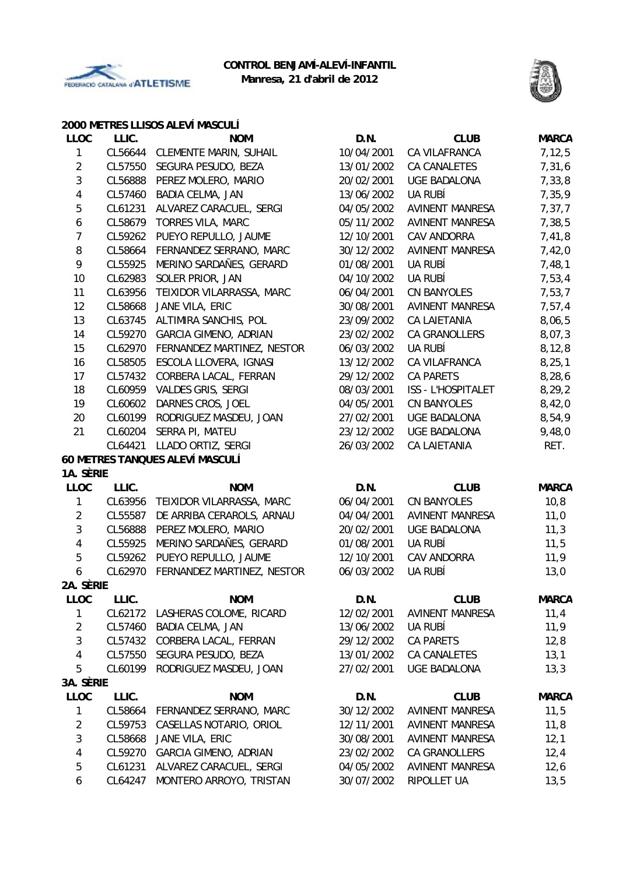



# **2000 METRES LLISOS ALEVÍ MASCULÍ**

| <b>LLOC</b>    | LLIC.   | <b>NOM</b>                      | D.N.       | <b>CLUB</b>               | <b>MARCA</b> |
|----------------|---------|---------------------------------|------------|---------------------------|--------------|
| 1              | CL56644 | <b>CLEMENTE MARIN, SUHAIL</b>   | 10/04/2001 | CA VILAFRANCA             | 7,12,5       |
| $\overline{2}$ | CL57550 | SEGURA PESUDO, BEZA             | 13/01/2002 | CA CANALETES              | 7,31,6       |
| 3              | CL56888 | PEREZ MOLERO, MARIO             | 20/02/2001 | <b>UGE BADALONA</b>       | 7,33,8       |
| 4              | CL57460 | <b>BADIA CELMA, JAN</b>         | 13/06/2002 | UA RUBÍ                   | 7,35,9       |
| 5              | CL61231 | ALVAREZ CARACUEL, SERGI         | 04/05/2002 | <b>AVINENT MANRESA</b>    | 7,37,7       |
| 6              | CL58679 | <b>TORRES VILA, MARC</b>        | 05/11/2002 | <b>AVINENT MANRESA</b>    | 7,38,5       |
| 7              | CL59262 | PUEYO REPULLO, JAUME            | 12/10/2001 | CAV ANDORRA               | 7,41,8       |
| 8              | CL58664 | FERNANDEZ SERRANO, MARC         | 30/12/2002 | <b>AVINENT MANRESA</b>    | 7,42,0       |
| 9              | CL55925 | MERINO SARDAÑES, GERARD         | 01/08/2001 | UA RUBÍ                   | 7,48,1       |
| 10             | CL62983 | SOLER PRIOR, JAN                | 04/10/2002 | UA RUBÍ                   | 7,53,4       |
| 11             | CL63956 | TEIXIDOR VILARRASSA, MARC       | 06/04/2001 | CN BANYOLES               | 7,53,7       |
| 12             | CL58668 | JANE VILA, ERIC                 | 30/08/2001 | <b>AVINENT MANRESA</b>    | 7,57,4       |
| 13             | CL63745 | ALTIMIRA SANCHIS, POL           | 23/09/2002 | <b>CA LAIETANIA</b>       | 8,06,5       |
| 14             | CL59270 | <b>GARCIA GIMENO, ADRIAN</b>    | 23/02/2002 | <b>CA GRANOLLERS</b>      | 8,07,3       |
| 15             | CL62970 | FERNANDEZ MARTINEZ, NESTOR      | 06/03/2002 | <b>UA RUBÍ</b>            | 8,12,8       |
| 16             | CL58505 | ESCOLA LLOVERA, IGNASI          | 13/12/2002 | CA VILAFRANCA             | 8, 25, 1     |
| 17             | CL57432 | CORBERA LACAL, FERRAN           | 29/12/2002 | <b>CA PARETS</b>          | 8,28,6       |
| 18             | CL60959 | <b>VALDES GRIS, SERGI</b>       | 08/03/2001 | <b>ISS - L'HOSPITALET</b> | 8,29,2       |
| 19             | CL60602 | DARNES CROS, JOEL               | 04/05/2001 | <b>CN BANYOLES</b>        | 8,42,0       |
| 20             | CL60199 | RODRIGUEZ MASDEU, JOAN          | 27/02/2001 | <b>UGE BADALONA</b>       | 8,54,9       |
| 21             | CL60204 | SERRA PI, MATEU                 | 23/12/2002 | <b>UGE BADALONA</b>       | 9,48,0       |
|                | CL64421 | LLADO ORTIZ, SERGI              | 26/03/2002 | <b>CA LAIETANIA</b>       | RET.         |
|                |         | 60 METRES TANQUES ALEVÍ MASCULÍ |            |                           |              |
| 1A. SÈRIE      |         |                                 |            |                           |              |
| <b>LLOC</b>    | LLIC.   | <b>NOM</b>                      | D.N.       | <b>CLUB</b>               | <b>MARCA</b> |
| 1              | CL63956 | TEIXIDOR VILARRASSA, MARC       | 06/04/2001 | <b>CN BANYOLES</b>        | 10, 8        |
| $\overline{2}$ | CL55587 | DE ARRIBA CERAROLS, ARNAU       | 04/04/2001 | AVINENT MANRESA           | 11,0         |
| 3              | CL56888 | PEREZ MOLERO, MARIO             | 20/02/2001 | <b>UGE BADALONA</b>       | 11,3         |
| 4              | CL55925 | MERINO SARDAÑES, GERARD         | 01/08/2001 | UA RUBÍ                   | 11,5         |
| 5              | CL59262 | PUEYO REPULLO, JAUME            | 12/10/2001 | CAV ANDORRA               | 11,9         |
| 6              | CL62970 | FERNANDEZ MARTINEZ, NESTOR      | 06/03/2002 | UA RUBÍ                   | 13,0         |
| 2A. SÈRIE      |         |                                 |            |                           |              |
| <b>LLOC</b>    | LLIC.   | <b>NOM</b>                      | D.N.       | <b>CLUB</b>               | MARCA        |
| 1              | CL62172 | LASHERAS COLOME, RICARD         | 12/02/2001 | <b>AVINENT MANRESA</b>    | 11,4         |
| $\overline{2}$ | CL57460 | <b>BADIA CELMA, JAN</b>         | 13/06/2002 | UA RUBÍ                   | 11,9         |
| 3              | CL57432 | CORBERA LACAL, FERRAN           | 29/12/2002 | CA PARETS                 | 12,8         |
| 4              | CL57550 | SEGURA PESUDO, BEZA             | 13/01/2002 | CA CANALETES              | 13,1         |
| 5              | CL60199 | RODRIGUEZ MASDEU, JOAN          | 27/02/2001 | <b>UGE BADALONA</b>       | 13,3         |
| 3A. SÈRIE      |         |                                 |            |                           |              |
| <b>LLOC</b>    | LLIC.   | <b>NOM</b>                      | D.N.       | <b>CLUB</b>               | <b>MARCA</b> |
| 1              | CL58664 | FERNANDEZ SERRANO, MARC         | 30/12/2002 | <b>AVINENT MANRESA</b>    | 11,5         |
| $\overline{2}$ | CL59753 | CASELLAS NOTARIO, ORIOL         | 12/11/2001 | <b>AVINENT MANRESA</b>    | 11,8         |
| 3              | CL58668 | JANE VILA, ERIC                 | 30/08/2001 | <b>AVINENT MANRESA</b>    | 12,1         |
| 4              | CL59270 | <b>GARCIA GIMENO, ADRIAN</b>    | 23/02/2002 | CA GRANOLLERS             | 12,4         |
| 5              | CL61231 | ALVAREZ CARACUEL, SERGI         | 04/05/2002 | <b>AVINENT MANRESA</b>    | 12,6         |
| 6              | CL64247 | MONTERO ARROYO, TRISTAN         | 30/07/2002 | RIPOLLET UA               | 13,5         |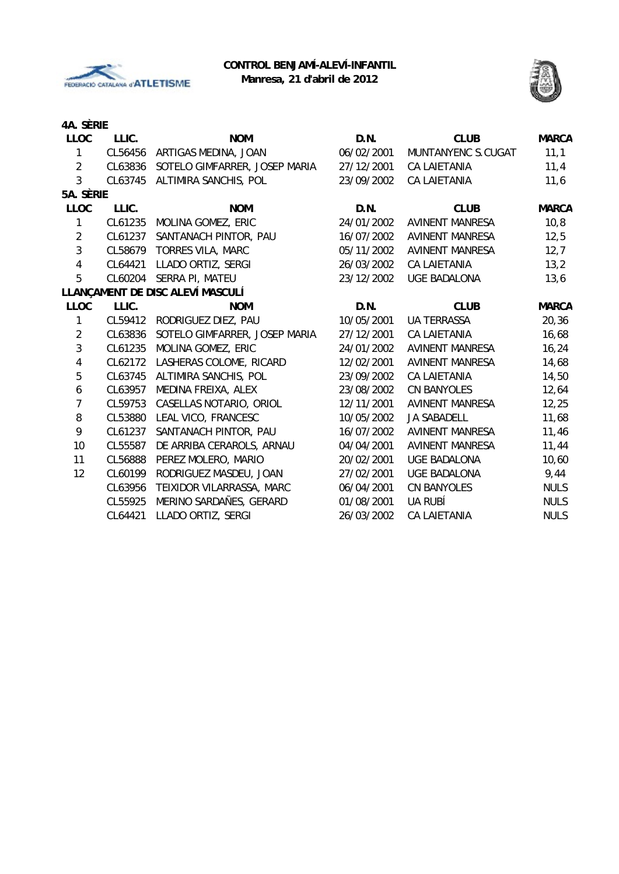



| 4A. SÈRIE               |         |                                  |            |                        |              |
|-------------------------|---------|----------------------------------|------------|------------------------|--------------|
| <b>LLOC</b>             | LLIC.   | <b>NOM</b>                       | D.N.       | <b>CLUB</b>            | <b>MARCA</b> |
| 1                       | CL56456 | ARTIGAS MEDINA, JOAN             | 06/02/2001 | MUNTANYENC S.CUGAT     | 11,1         |
| $\overline{2}$          | CL63836 | SOTELO GIMFARRER, JOSEP MARIA    | 27/12/2001 | <b>CA LAIETANIA</b>    | 11,4         |
| 3                       | CL63745 | ALTIMIRA SANCHIS, POL            | 23/09/2002 | <b>CA LAIETANIA</b>    | 11,6         |
| 5A. SÈRIE               |         |                                  |            |                        |              |
| <b>LLOC</b>             | LLIC.   | <b>NOM</b>                       | D.N.       | <b>CLUB</b>            | <b>MARCA</b> |
| $\mathbf{1}$            | CL61235 | MOLINA GOMEZ, ERIC               | 24/01/2002 | <b>AVINENT MANRESA</b> | 10, 8        |
| $\overline{2}$          | CL61237 | SANTANACH PINTOR, PAU            | 16/07/2002 | AVINENT MANRESA        | 12,5         |
| 3                       | CL58679 | <b>TORRES VILA, MARC</b>         | 05/11/2002 | <b>AVINENT MANRESA</b> | 12,7         |
| 4                       | CL64421 | LLADO ORTIZ, SERGI               | 26/03/2002 | <b>CA LAIETANIA</b>    | 13,2         |
| 5                       | CL60204 | SERRA PI, MATEU                  | 23/12/2002 | <b>UGE BADALONA</b>    | 13,6         |
|                         |         | LLANÇAMENT DE DISC ALEVÍ MASCULÍ |            |                        |              |
| <b>LLOC</b>             | LLIC.   | <b>NOM</b>                       | D.N.       | <b>CLUB</b>            | <b>MARCA</b> |
| 1                       | CL59412 | RODRIGUEZ DIEZ, PAU              | 10/05/2001 | <b>UA TERRASSA</b>     | 20, 36       |
| $\overline{2}$          | CL63836 | SOTELO GIMFARRER, JOSEP MARIA    | 27/12/2001 | <b>CA LAIETANIA</b>    | 16,68        |
| 3                       | CL61235 | MOLINA GOMEZ, ERIC               | 24/01/2002 | <b>AVINENT MANRESA</b> | 16, 24       |
| $\overline{\mathbf{4}}$ | CL62172 | LASHERAS COLOME, RICARD          | 12/02/2001 | <b>AVINENT MANRESA</b> | 14,68        |
| 5                       | CL63745 | ALTIMIRA SANCHIS, POL            | 23/09/2002 | <b>CA LAIETANIA</b>    | 14,50        |
| 6                       | CL63957 | MEDINA FREIXA, ALEX              | 23/08/2002 | <b>CN BANYOLES</b>     | 12,64        |
| 7                       | CL59753 | CASELLAS NOTARIO, ORIOL          | 12/11/2001 | <b>AVINENT MANRESA</b> | 12,25        |
| 8                       | CL53880 | LEAL VICO, FRANCESC              | 10/05/2002 | <b>JA SABADELL</b>     | 11,68        |
| 9                       | CL61237 | SANTANACH PINTOR, PAU            | 16/07/2002 | <b>AVINENT MANRESA</b> | 11,46        |
| 10                      | CL55587 | DE ARRIBA CERAROLS, ARNAU        | 04/04/2001 | <b>AVINENT MANRESA</b> | 11,44        |
| 11                      | CL56888 | PEREZ MOLERO, MARIO              | 20/02/2001 | <b>UGE BADALONA</b>    | 10,60        |
| 12                      | CL60199 | RODRIGUEZ MASDEU, JOAN           | 27/02/2001 | <b>UGE BADALONA</b>    | 9,44         |
|                         | CL63956 | TEIXIDOR VILARRASSA, MARC        | 06/04/2001 | <b>CN BANYOLES</b>     | <b>NULS</b>  |
|                         | CL55925 | MERINO SARDAÑES, GERARD          | 01/08/2001 | UA RUBÍ                | <b>NULS</b>  |
|                         | CL64421 | LLADO ORTIZ, SERGI               | 26/03/2002 | CA LAIETANIA           | <b>NULS</b>  |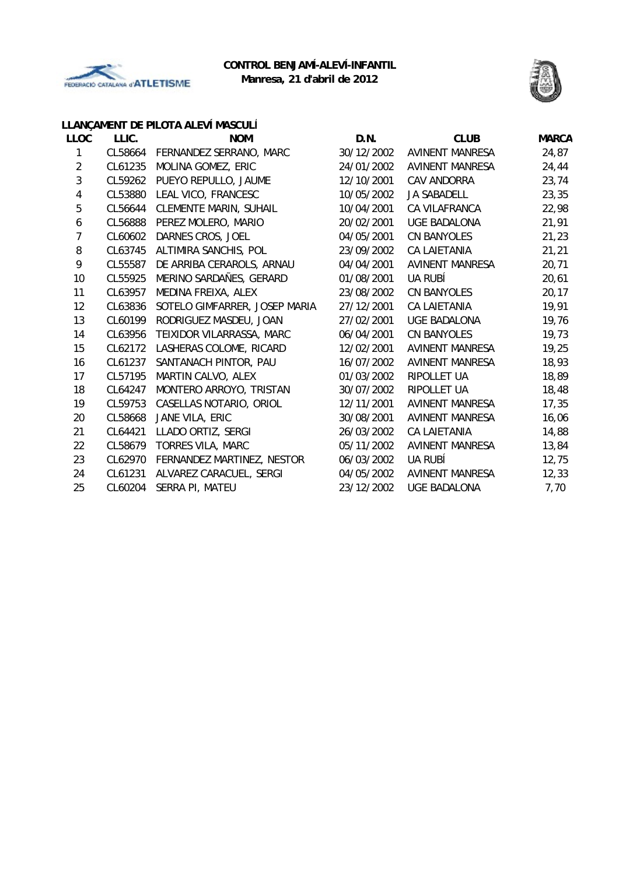



# **LLANÇAMENT DE PILOTA ALEVÍ MASCULÍ**

| <b>LLOC</b>      | LLIC.   | <b>NOM</b>                    | D.N.       | <b>CLUB</b>            | <b>MARCA</b> |
|------------------|---------|-------------------------------|------------|------------------------|--------------|
| 1                | CL58664 | FERNANDEZ SERRANO, MARC       | 30/12/2002 | <b>AVINENT MANRESA</b> | 24,87        |
| $\overline{2}$   | CL61235 | MOLINA GOMEZ, ERIC            | 24/01/2002 | AVINENT MANRESA        | 24,44        |
| 3                | CL59262 | PUEYO REPULLO, JAUME          | 12/10/2001 | CAV ANDORRA            | 23,74        |
| 4                | CL53880 | LEAL VICO, FRANCESC           | 10/05/2002 | <b>JA SABADELL</b>     | 23,35        |
| 5                | CL56644 | <b>CLEMENTE MARIN, SUHAIL</b> | 10/04/2001 | CA VILAFRANCA          | 22,98        |
| $\boldsymbol{6}$ | CL56888 | PEREZ MOLERO, MARIO           | 20/02/2001 | <b>UGE BADALONA</b>    | 21,91        |
| 7                | CL60602 | DARNES CROS, JOEL             | 04/05/2001 | <b>CN BANYOLES</b>     | 21,23        |
| 8                | CL63745 | ALTIMIRA SANCHIS, POL         | 23/09/2002 | <b>CA LAIETANIA</b>    | 21,21        |
| 9                | CL55587 | DE ARRIBA CERAROLS, ARNAU     | 04/04/2001 | AVINENT MANRESA        | 20,71        |
| 10               | CL55925 | MERINO SARDAÑES, GERARD       | 01/08/2001 | UA RUBÍ                | 20,61        |
| 11               | CL63957 | MEDINA FREIXA, ALEX           | 23/08/2002 | CN BANYOLES            | 20, 17       |
| 12               | CL63836 | SOTELO GIMFARRER, JOSEP MARIA | 27/12/2001 | CA LAIETANIA           | 19,91        |
| 13               | CL60199 | RODRIGUEZ MASDEU, JOAN        | 27/02/2001 | <b>UGE BADALONA</b>    | 19,76        |
| 14               | CL63956 | TEIXIDOR VILARRASSA, MARC     | 06/04/2001 | <b>CN BANYOLES</b>     | 19,73        |
| 15               | CL62172 | LASHERAS COLOME, RICARD       | 12/02/2001 | <b>AVINENT MANRESA</b> | 19,25        |
| 16               | CL61237 | SANTANACH PINTOR, PAU         | 16/07/2002 | <b>AVINENT MANRESA</b> | 18,93        |
| 17               | CL57195 | MARTIN CALVO, ALEX            | 01/03/2002 | RIPOLLET UA            | 18,89        |
| 18               | CL64247 | MONTERO ARROYO, TRISTAN       | 30/07/2002 | RIPOLLET UA            | 18,48        |
| 19               | CL59753 | CASELLAS NOTARIO, ORIOL       | 12/11/2001 | AVINENT MANRESA        | 17,35        |
| 20               | CL58668 | JANE VILA, ERIC               | 30/08/2001 | <b>AVINENT MANRESA</b> | 16,06        |
| 21               | CL64421 | LLADO ORTIZ, SERGI            | 26/03/2002 | CA LAIETANIA           | 14,88        |
| 22               | CL58679 | TORRES VILA, MARC             | 05/11/2002 | <b>AVINENT MANRESA</b> | 13,84        |
| 23               | CL62970 | FERNANDEZ MARTINEZ, NESTOR    | 06/03/2002 | UA RUBÍ                | 12,75        |
| 24               | CL61231 | ALVAREZ CARACUEL, SERGI       | 04/05/2002 | AVINENT MANRESA        | 12,33        |
| 25               | CL60204 | SERRA PI, MATEU               | 23/12/2002 | <b>UGE BADALONA</b>    | 7,70         |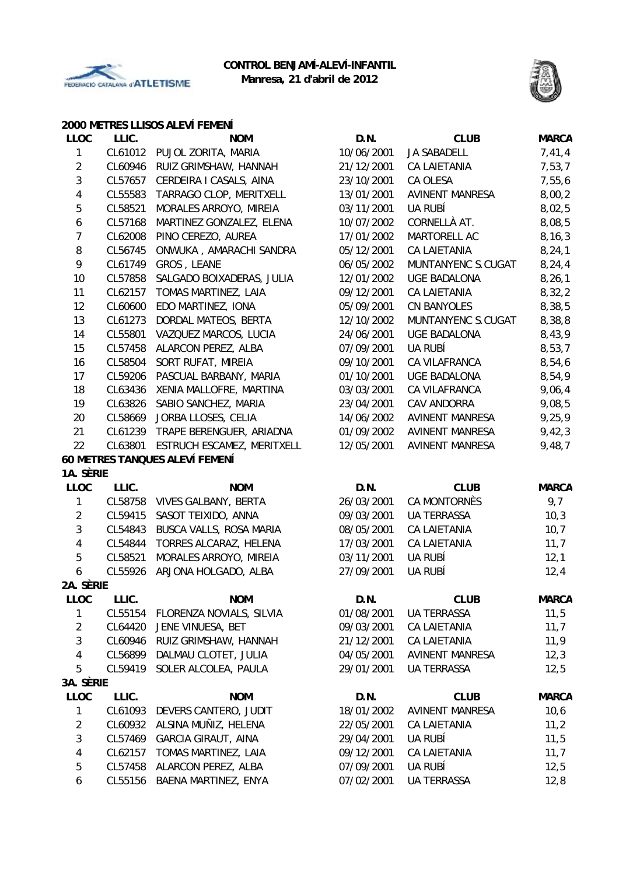



## **2000 METRES LLISOS ALEVÍ FEMENÍ**

| <b>LLOC</b>    | LLIC.   | <b>NOM</b>                     | D.N.       | <b>CLUB</b>            | <b>MARCA</b> |
|----------------|---------|--------------------------------|------------|------------------------|--------------|
| $\mathbf{1}$   |         | CL61012 PUJOL ZORITA, MARIA    | 10/06/2001 | JA SABADELL            | 7,41,4       |
| $\sqrt{2}$     | CL60946 | RUIZ GRIMSHAW, HANNAH          | 21/12/2001 | CA LAIETANIA           | 7,53,7       |
| $\mathfrak{Z}$ | CL57657 | CERDEIRA I CASALS, AINA        | 23/10/2001 | CA OLESA               | 7,55,6       |
| $\sqrt{4}$     | CL55583 | TARRAGO CLOP, MERITXELL        | 13/01/2001 | <b>AVINENT MANRESA</b> | 8,00,2       |
| 5              | CL58521 | MORALES ARROYO, MIREIA         | 03/11/2001 | UA RUBÍ                | 8,02,5       |
| 6              | CL57168 | MARTINEZ GONZALEZ, ELENA       | 10/07/2002 | CORNELLÀ AT.           | 8,08,5       |
| $\overline{7}$ | CL62008 | PINO CEREZO, AUREA             | 17/01/2002 | MARTORELL AC           | 8, 16, 3     |
| 8              | CL56745 | ONWUKA, AMARACHI SANDRA        | 05/12/2001 | <b>CA LAIETANIA</b>    | 8, 24, 1     |
| 9              | CL61749 | GROS, LEANE                    | 06/05/2002 | MUNTANYENC S.CUGAT     | 8, 24, 4     |
| 10             | CL57858 | SALGADO BOIXADERAS, JULIA      | 12/01/2002 | <b>UGE BADALONA</b>    | 8, 26, 1     |
| 11             | CL62157 | TOMAS MARTINEZ, LAIA           | 09/12/2001 | CA LAIETANIA           | 8,32,2       |
| 12             | CL60600 | EDO MARTINEZ, IONA             | 05/09/2001 | CN BANYOLES            | 8,38,5       |
| 13             | CL61273 | DORDAL MATEOS, BERTA           | 12/10/2002 | MUNTANYENC S.CUGAT     | 8,38,8       |
| 14             | CL55801 | VAZQUEZ MARCOS, LUCIA          | 24/06/2001 | <b>UGE BADALONA</b>    | 8,43,9       |
| 15             | CL57458 | ALARCON PEREZ, ALBA            | 07/09/2001 | UA RUBÍ                | 8,53,7       |
| 16             | CL58504 | SORT RUFAT, MIREIA             | 09/10/2001 | CA VILAFRANCA          | 8,54,6       |
| 17             | CL59206 | PASCUAL BARBANY, MARIA         | 01/10/2001 | UGE BADALONA           | 8,54,9       |
| 18             | CL63436 | XENIA MALLOFRE, MARTINA        | 03/03/2001 | CA VILAFRANCA          | 9,06,4       |
| 19             | CL63826 | SABIO SANCHEZ, MARIA           | 23/04/2001 | CAV ANDORRA            | 9,08,5       |
| 20             | CL58669 | JORBA LLOSES, CELIA            | 14/06/2002 | <b>AVINENT MANRESA</b> | 9,25,9       |
| 21             | CL61239 | TRAPE BERENGUER, ARIADNA       | 01/09/2002 | <b>AVINENT MANRESA</b> | 9,42,3       |
| 22             | CL63801 | ESTRUCH ESCAMEZ, MERITXELL     | 12/05/2001 | <b>AVINENT MANRESA</b> | 9,48,7       |
|                |         | 60 METRES TANQUES ALEVÍ FEMENÍ |            |                        |              |
| 1A. SÈRIE      |         |                                |            |                        |              |
| <b>LLOC</b>    | LLIC.   | <b>NOM</b>                     | D.N.       | <b>CLUB</b>            | <b>MARCA</b> |
| 1              | CL58758 | VIVES GALBANY, BERTA           | 26/03/2001 | CA MONTORNÈS           | 9,7          |
| $\overline{2}$ | CL59415 | SASOT TEIXIDO, ANNA            | 09/03/2001 | <b>UA TERRASSA</b>     | 10,3         |
| $\mathfrak{Z}$ | CL54843 | BUSCA VALLS, ROSA MARIA        | 08/05/2001 | CA LAIETANIA           | 10,7         |
| $\overline{4}$ | CL54844 | TORRES ALCARAZ, HELENA         | 17/03/2001 | CA LAIETANIA           | 11,7         |
| 5              | CL58521 | MORALES ARROYO, MIREIA         | 03/11/2001 | UA RUBÍ                | 12,1         |
| 6              | CL55926 | ARJONA HOLGADO, ALBA           | 27/09/2001 | UA RUBÍ                | 12,4         |
| 2A. SÈRIE      |         |                                |            |                        |              |
| <b>LLOC</b>    | LLIC.   | <b>NOM</b>                     | D.N.       | <b>CLUB</b>            | <b>MARCA</b> |
| 1              | CL55154 | FLORENZA NOVIALS, SILVIA       | 01/08/2001 | UA TERRASSA            | 11,5         |
| $\overline{2}$ | CL64420 | JENE VINUESA, BET              | 09/03/2001 | CA LAIETANIA           | 11,7         |
| $\sqrt{3}$     | CL60946 | RUIZ GRIMSHAW, HANNAH          | 21/12/2001 | CA LAIETANIA           | 11,9         |
| $\overline{4}$ | CL56899 | DALMAU CLOTET, JULIA           | 04/05/2001 | <b>AVINENT MANRESA</b> | 12,3         |
| 5              | CL59419 | SOLER ALCOLEA, PAULA           | 29/01/2001 | <b>UA TERRASSA</b>     | 12,5         |
| 3A. SÈRIE      |         |                                |            |                        |              |
| <b>LLOC</b>    | LLIC.   | <b>NOM</b>                     | D.N.       | <b>CLUB</b>            | <b>MARCA</b> |
| 1              | CL61093 | DEVERS CANTERO, JUDIT          | 18/01/2002 | <b>AVINENT MANRESA</b> | 10, 6        |
| $\overline{2}$ | CL60932 | ALSINA MUÑIZ, HELENA           | 22/05/2001 | <b>CA LAIETANIA</b>    | 11,2         |
| 3              | CL57469 | <b>GARCIA GIRAUT, AINA</b>     | 29/04/2001 | UA RUBÍ                | 11,5         |
| 4              | CL62157 | TOMAS MARTINEZ, LAIA           | 09/12/2001 | CA LAIETANIA           | 11,7         |
| 5              | CL57458 | ALARCON PEREZ, ALBA            | 07/09/2001 | UA RUBÍ                | 12,5         |
| 6              | CL55156 | BAENA MARTINEZ, ENYA           | 07/02/2001 | UA TERRASSA            | 12,8         |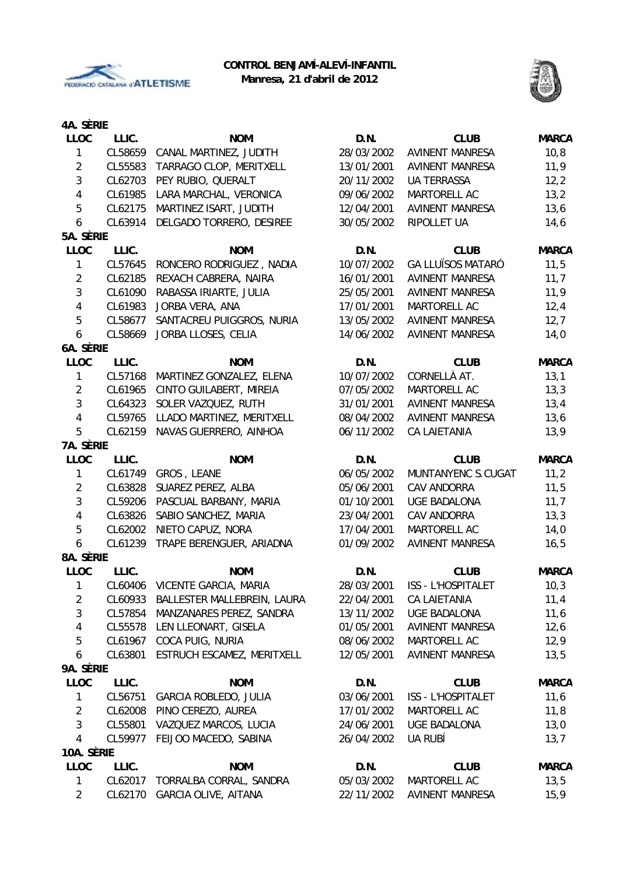



| 4A. SÈRIE               |         |                             |            |                                               |              |
|-------------------------|---------|-----------------------------|------------|-----------------------------------------------|--------------|
| <b>LLOC</b>             | LLIC.   | <b>NOM</b>                  | D.N.       | <b>CLUB</b>                                   | <b>MARCA</b> |
| 1                       | CL58659 | CANAL MARTINEZ, JUDITH      | 28/03/2002 | <b>AVINENT MANRESA</b>                        | 10,8         |
| $\overline{2}$          | CL55583 | TARRAGO CLOP, MERITXELL     | 13/01/2001 | <b>AVINENT MANRESA</b>                        | 11,9         |
| $\mathfrak{Z}$          | CL62703 | PEY RUBIO, QUERALT          | 20/11/2002 | <b>UA TERRASSA</b>                            | 12,2         |
| $\overline{\mathbf{4}}$ | CL61985 | LARA MARCHAL, VERONICA      | 09/06/2002 | MARTORELL AC                                  | 13,2         |
| 5                       | CL62175 | MARTINEZ ISART, JUDITH      | 12/04/2001 | <b>AVINENT MANRESA</b>                        | 13,6         |
| 6                       | CL63914 | DELGADO TORRERO, DESIREE    | 30/05/2002 | RIPOLLET UA                                   | 14,6         |
| 5A. SÈRIE               |         |                             |            |                                               |              |
| <b>LLOC</b>             | LLIC.   | <b>NOM</b>                  | D.N.       | <b>CLUB</b>                                   | <b>MARCA</b> |
| 1                       | CL57645 | RONCERO RODRIGUEZ, NADIA    | 10/07/2002 | <b>GA LLUÏSOS MATARÓ</b>                      | 11,5         |
| $\overline{2}$          | CL62185 | REXACH CABRERA, NAIRA       | 16/01/2001 | <b>AVINENT MANRESA</b>                        | 11,7         |
| 3                       | CL61090 | RABASSA IRIARTE, JULIA      | 25/05/2001 | <b>AVINENT MANRESA</b>                        | 11,9         |
| $\overline{\mathbf{4}}$ | CL61983 | JORBA VERA, ANA             | 17/01/2001 | MARTORELL AC                                  | 12,4         |
| 5                       | CL58677 | SANTACREU PUIGGROS, NURIA   | 13/05/2002 | <b>AVINENT MANRESA</b>                        | 12,7         |
| 6                       | CL58669 | JORBA LLOSES, CELIA         | 14/06/2002 | <b>AVINENT MANRESA</b>                        | 14,0         |
| 6A. SÈRIE               |         |                             |            |                                               |              |
| LLOC                    | LLIC.   | <b>NOM</b>                  | D.N.       | <b>CLUB</b>                                   | <b>MARCA</b> |
| 1                       | CL57168 | MARTINEZ GONZALEZ, ELENA    | 10/07/2002 | CORNELLÀ AT.                                  | 13,1         |
| $\overline{2}$          | CL61965 | CINTO GUILABERT, MIREIA     | 07/05/2002 | MARTORELL AC                                  | 13,3         |
| 3                       | CL64323 | SOLER VAZQUEZ, RUTH         | 31/01/2001 | <b>AVINENT MANRESA</b>                        | 13,4         |
| 4                       | CL59765 | LLADO MARTINEZ, MERITXELL   | 08/04/2002 | <b>AVINENT MANRESA</b>                        | 13,6         |
| 5                       | CL62159 | NAVAS GUERRERO, AINHOA      | 06/11/2002 | <b>CA LAIETANIA</b>                           | 13,9         |
| 7A. SÈRIE               |         |                             |            |                                               |              |
| <b>LLOC</b>             | LLIC.   | <b>NOM</b>                  | D.N.       | <b>CLUB</b>                                   | <b>MARCA</b> |
| 1                       | CL61749 | GROS, LEANE                 | 06/05/2002 | MUNTANYENC S.CUGAT                            | 11,2         |
| $\overline{2}$          | CL63828 | SUAREZ PEREZ, ALBA          | 05/06/2001 | CAV ANDORRA                                   | 11,5         |
| $\mathfrak{Z}$          | CL59206 | PASCUAL BARBANY, MARIA      | 01/10/2001 | <b>UGE BADALONA</b>                           | 11,7         |
| 4                       | CL63826 | SABIO SANCHEZ, MARIA        | 23/04/2001 | CAV ANDORRA                                   | 13,3         |
| 5                       | CL62002 | NIETO CAPUZ, NORA           | 17/04/2001 | MARTORELL AC                                  | 14,0         |
| 6                       | CL61239 | TRAPE BERENGUER, ARIADNA    | 01/09/2002 | <b>AVINENT MANRESA</b>                        | 16,5         |
| 8A. SÈRIE               |         |                             |            |                                               |              |
| <b>LLOC</b>             | LLIC.   | <b>NOM</b>                  | D.N.       | <b>CLUB</b>                                   | <b>MARCA</b> |
|                         |         | VICENTE GARCIA, MARIA       | 28/03/2001 | ISS - L'HOSPITALET                            | 10,3         |
| 1                       | CL60406 |                             |            |                                               |              |
| $\overline{2}$<br>3     | CL60933 | BALLESTER MALLEBREIN, LAURA | 22/04/2001 | CA LAIETANIA                                  | 11,4         |
|                         | CL57854 | MANZANARES PEREZ, SANDRA    | 13/11/2002 | <b>UGE BADALONA</b><br><b>AVINENT MANRESA</b> | 11,6         |
| 4                       | CL55578 | LEN LLEONART, GISELA        | 01/05/2001 |                                               | 12,6         |
| 5                       | CL61967 | COCA PUIG, NURIA            | 08/06/2002 | MARTORELL AC                                  | 12,9         |
| 6                       | CL63801 | ESTRUCH ESCAMEZ, MERITXELL  | 12/05/2001 | <b>AVINENT MANRESA</b>                        | 13,5         |
| 9A. SÈRIE               |         |                             |            |                                               |              |
| LLOC                    | LLIC.   | <b>NOM</b>                  | D.N.       | <b>CLUB</b>                                   | <b>MARCA</b> |
| 1                       | CL56751 | GARCIA ROBLEDO, JULIA       | 03/06/2001 | <b>ISS - L'HOSPITALET</b>                     | 11,6         |
| $\overline{2}$          | CL62008 | PINO CEREZO, AUREA          | 17/01/2002 | MARTORELL AC                                  | 11,8         |
| 3                       | CL55801 | VAZQUEZ MARCOS, LUCIA       | 24/06/2001 | <b>UGE BADALONA</b>                           | 13,0         |
| 4                       | CL59977 | FEIJOO MACEDO, SABINA       | 26/04/2002 | UA RUBÍ                                       | 13,7         |
| 10A. SÈRIE              |         |                             |            |                                               |              |
| <b>LLOC</b>             | LLIC.   | <b>NOM</b>                  | D.N.       | <b>CLUB</b>                                   | <b>MARCA</b> |
| 1                       | CL62017 | TORRALBA CORRAL, SANDRA     | 05/03/2002 | MARTORELL AC                                  | 13,5         |
| $\overline{2}$          | CL62170 | GARCIA OLIVE, AITANA        | 22/11/2002 | <b>AVINENT MANRESA</b>                        | 15,9         |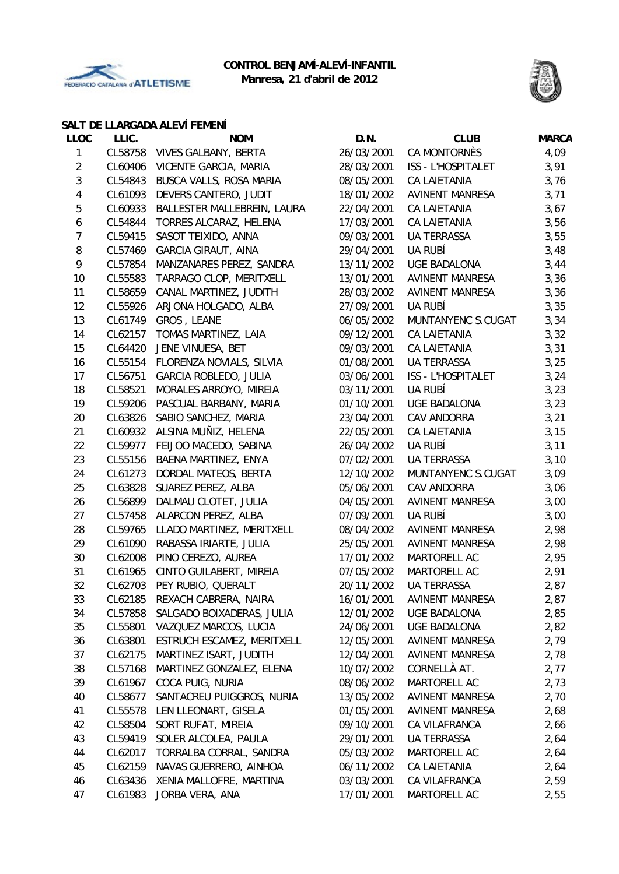



## **SALT DE LLARGADA ALEVÍ FEMENÍ**

| <b>LLOC</b>      | LLIC.   | <b>NOM</b>                  | D.N.       | <b>CLUB</b>               | <b>MARCA</b> |
|------------------|---------|-----------------------------|------------|---------------------------|--------------|
| 1                | CL58758 | VIVES GALBANY, BERTA        | 26/03/2001 | CA MONTORNÈS              | 4,09         |
| $\sqrt{2}$       | CL60406 | VICENTE GARCIA, MARIA       | 28/03/2001 | <b>ISS - L'HOSPITALET</b> | 3,91         |
| 3                | CL54843 | BUSCA VALLS, ROSA MARIA     | 08/05/2001 | CA LAIETANIA              | 3,76         |
| 4                | CL61093 | DEVERS CANTERO, JUDIT       | 18/01/2002 | <b>AVINENT MANRESA</b>    | 3,71         |
| 5                | CL60933 | BALLESTER MALLEBREIN, LAURA | 22/04/2001 | <b>CA LAIETANIA</b>       | 3,67         |
| $\boldsymbol{6}$ | CL54844 | TORRES ALCARAZ, HELENA      | 17/03/2001 | CA LAIETANIA              | 3,56         |
| $\overline{7}$   | CL59415 | SASOT TEIXIDO, ANNA         | 09/03/2001 | <b>UA TERRASSA</b>        | 3,55         |
| 8                | CL57469 | <b>GARCIA GIRAUT, AINA</b>  | 29/04/2001 | <b>UA RUBÍ</b>            | 3,48         |
| 9                | CL57854 | MANZANARES PEREZ, SANDRA    | 13/11/2002 | UGE BADALONA              | 3,44         |
| 10               | CL55583 | TARRAGO CLOP, MERITXELL     | 13/01/2001 | <b>AVINENT MANRESA</b>    | 3,36         |
| 11               | CL58659 | CANAL MARTINEZ, JUDITH      | 28/03/2002 | <b>AVINENT MANRESA</b>    | 3,36         |
| 12               | CL55926 | ARJONA HOLGADO, ALBA        | 27/09/2001 | UA RUBÍ                   | 3,35         |
| 13               | CL61749 | GROS, LEANE                 | 06/05/2002 | MUNTANYENC S.CUGAT        | 3,34         |
| 14               | CL62157 | TOMAS MARTINEZ, LAIA        | 09/12/2001 | <b>CA LAIETANIA</b>       | 3,32         |
| 15               | CL64420 | JENE VINUESA, BET           | 09/03/2001 | <b>CA LAIETANIA</b>       | 3,31         |
| 16               | CL55154 | FLORENZA NOVIALS, SILVIA    | 01/08/2001 | UA TERRASSA               | 3,25         |
| 17               | CL56751 | GARCIA ROBLEDO, JULIA       | 03/06/2001 | <b>ISS - L'HOSPITALET</b> | 3,24         |
| 18               | CL58521 | MORALES ARROYO, MIREIA      | 03/11/2001 | UA RUBÍ                   | 3,23         |
| 19               | CL59206 | PASCUAL BARBANY, MARIA      | 01/10/2001 | UGE BADALONA              | 3,23         |
| 20               | CL63826 | SABIO SANCHEZ, MARIA        | 23/04/2001 | CAV ANDORRA               | 3,21         |
| 21               | CL60932 | ALSINA MUÑIZ, HELENA        | 22/05/2001 | <b>CA LAIETANIA</b>       | 3,15         |
| 22               | CL59977 | FEIJOO MACEDO, SABINA       | 26/04/2002 | UA RUBÍ                   | 3,11         |
| 23               | CL55156 | BAENA MARTINEZ, ENYA        | 07/02/2001 | <b>UA TERRASSA</b>        | 3,10         |
| 24               | CL61273 | DORDAL MATEOS, BERTA        | 12/10/2002 | MUNTANYENC S.CUGAT        | 3,09         |
| 25               | CL63828 | SUAREZ PEREZ, ALBA          | 05/06/2001 | CAV ANDORRA               | 3,06         |
| 26               | CL56899 | DALMAU CLOTET, JULIA        | 04/05/2001 | <b>AVINENT MANRESA</b>    | 3,00         |
| 27               | CL57458 | ALARCON PEREZ, ALBA         | 07/09/2001 | UA RUBÍ                   | 3,00         |
| 28               | CL59765 | LLADO MARTINEZ, MERITXELL   | 08/04/2002 | <b>AVINENT MANRESA</b>    | 2,98         |
| 29               | CL61090 | RABASSA IRIARTE, JULIA      | 25/05/2001 | <b>AVINENT MANRESA</b>    | 2,98         |
| 30               | CL62008 | PINO CEREZO, AUREA          | 17/01/2002 | MARTORELL AC              | 2,95         |
| 31               | CL61965 | CINTO GUILABERT, MIREIA     | 07/05/2002 | MARTORELL AC              | 2,91         |
| 32               | CL62703 | PEY RUBIO, QUERALT          | 20/11/2002 | <b>UA TERRASSA</b>        | 2,87         |
| 33               | CL62185 | REXACH CABRERA, NAIRA       | 16/01/2001 | <b>AVINENT MANRESA</b>    | 2,87         |
| 34               | CL57858 | SALGADO BOIXADERAS, JULIA   | 12/01/2002 | <b>UGE BADALONA</b>       | 2,85         |
| 35               | CL55801 | VAZQUEZ MARCOS, LUCIA       | 24/06/2001 | <b>UGE BADALONA</b>       | 2,82         |
| 36               | CL63801 | ESTRUCH ESCAMEZ, MERITXELL  | 12/05/2001 | AVINENT MANRESA           | 2,79         |
| 37               | CL62175 | MARTINEZ ISART, JUDITH      | 12/04/2001 | <b>AVINENT MANRESA</b>    | 2,78         |
| 38               | CL57168 | MARTINEZ GONZALEZ, ELENA    | 10/07/2002 | CORNELLÀ AT.              | 2,77         |
| 39               | CL61967 | COCA PUIG, NURIA            | 08/06/2002 | MARTORELL AC              | 2,73         |
| 40               | CL58677 | SANTACREU PUIGGROS, NURIA   | 13/05/2002 | <b>AVINENT MANRESA</b>    | 2,70         |
| 41               | CL55578 | LEN LLEONART, GISELA        | 01/05/2001 | <b>AVINENT MANRESA</b>    | 2,68         |
| 42               | CL58504 | SORT RUFAT, MIREIA          | 09/10/2001 | CA VILAFRANCA             | 2,66         |
| 43               | CL59419 | SOLER ALCOLEA, PAULA        | 29/01/2001 | UA TERRASSA               | 2,64         |
| 44               | CL62017 | TORRALBA CORRAL, SANDRA     | 05/03/2002 | MARTORELL AC              | 2,64         |
| 45               | CL62159 | NAVAS GUERRERO, AINHOA      | 06/11/2002 | CA LAIETANIA              | 2,64         |
| 46               | CL63436 | XENIA MALLOFRE, MARTINA     | 03/03/2001 | CA VILAFRANCA             | 2,59         |
| 47               | CL61983 | JORBA VERA, ANA             | 17/01/2001 | MARTORELL AC              | 2,55         |
|                  |         |                             |            |                           |              |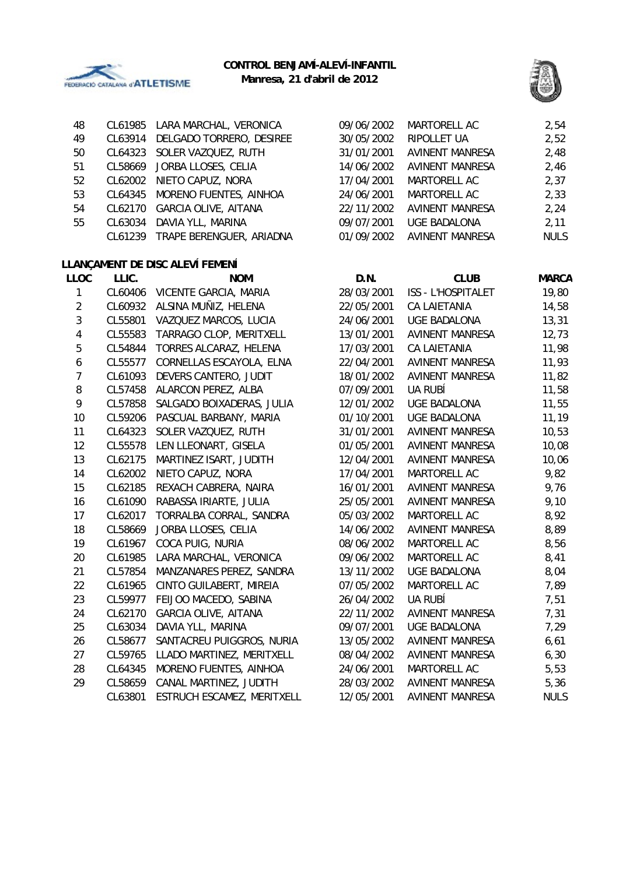



| 48 | CL61985 | LARA MARCHAL, VERONICA      | 09/06/2002 | MARTORELL AC           | 2,54        |
|----|---------|-----------------------------|------------|------------------------|-------------|
| 49 | CL63914 | DELGADO TORRERO, DESIREE    | 30/05/2002 | RIPOLLET UA            | 2,52        |
| 50 |         | CL64323 SOLER VAZQUEZ, RUTH | 31/01/2001 | AVINENT MANRESA        | 2,48        |
| 51 |         | CL58669 JORBA LLOSES, CELIA | 14/06/2002 | AVINENT MANRESA        | 2,46        |
| 52 | CL62002 | NIETO CAPUZ, NORA           | 17/04/2001 | MARTORELL AC           | 2,37        |
| 53 | CL64345 | MORENO FUENTES, AINHOA      | 24/06/2001 | MARTORELL AC           | 2,33        |
| 54 | CL62170 | <b>GARCIA OLIVE, AITANA</b> | 22/11/2002 | AVINENT MANRESA        | 2,24        |
| 55 | CL63034 | DAVIA YLL, MARINA           | 09/07/2001 | UGE BADALONA           | 2,11        |
|    | CL61239 | TRAPE BERENGUER, ARIADNA    | 01/09/2002 | <b>AVINENT MANRESA</b> | <b>NULS</b> |
|    |         |                             |            |                        |             |

# **LLANÇAMENT DE DISC ALEVÍ FEMENÍ**

| <b>LLOC</b>             | LLIC.   | <b>NOM</b>                    | D.N.       | <b>CLUB</b>               | <b>MARCA</b> |
|-------------------------|---------|-------------------------------|------------|---------------------------|--------------|
| 1                       |         | CL60406 VICENTE GARCIA, MARIA | 28/03/2001 | <b>ISS - L'HOSPITALET</b> | 19,80        |
| $\overline{2}$          |         | CL60932 ALSINA MUÑIZ, HELENA  | 22/05/2001 | CA LAIETANIA              | 14,58        |
| 3                       | CL55801 | VAZQUEZ MARCOS, LUCIA         | 24/06/2001 | <b>UGE BADALONA</b>       | 13,31        |
| $\overline{\mathbf{4}}$ | CL55583 | TARRAGO CLOP, MERITXELL       | 13/01/2001 | <b>AVINENT MANRESA</b>    | 12,73        |
| 5                       | CL54844 | TORRES ALCARAZ, HELENA        | 17/03/2001 | <b>CA LAIETANIA</b>       | 11,98        |
| 6                       | CL55577 | CORNELLAS ESCAYOLA, ELNA      | 22/04/2001 | AVINENT MANRESA           | 11,93        |
| 7                       | CL61093 | DEVERS CANTERO, JUDIT         | 18/01/2002 | <b>AVINENT MANRESA</b>    | 11,82        |
| 8                       | CL57458 | ALARCON PEREZ, ALBA           | 07/09/2001 | UA RUBÍ                   | 11,58        |
| 9                       | CL57858 | SALGADO BOIXADERAS, JULIA     | 12/01/2002 | <b>UGE BADALONA</b>       | 11,55        |
| 10                      | CL59206 | PASCUAL BARBANY, MARIA        | 01/10/2001 | <b>UGE BADALONA</b>       | 11, 19       |
| 11                      | CL64323 | SOLER VAZQUEZ, RUTH           | 31/01/2001 | <b>AVINENT MANRESA</b>    | 10,53        |
| 12                      | CL55578 | LEN LLEONART, GISELA          | 01/05/2001 | <b>AVINENT MANRESA</b>    | 10,08        |
| 13                      | CL62175 | MARTINEZ ISART, JUDITH        | 12/04/2001 | <b>AVINENT MANRESA</b>    | 10,06        |
| 14                      | CL62002 | NIETO CAPUZ, NORA             | 17/04/2001 | MARTORELL AC              | 9,82         |
| 15                      | CL62185 | REXACH CABRERA, NAIRA         | 16/01/2001 | <b>AVINENT MANRESA</b>    | 9,76         |
| 16                      | CL61090 | RABASSA IRIARTE, JULIA        | 25/05/2001 | <b>AVINENT MANRESA</b>    | 9,10         |
| 17                      | CL62017 | TORRALBA CORRAL, SANDRA       | 05/03/2002 | MARTORELL AC              | 8,92         |
| 18                      | CL58669 | JORBA LLOSES, CELIA           | 14/06/2002 | AVINENT MANRESA           | 8,89         |
| 19                      | CL61967 | COCA PUIG, NURIA              | 08/06/2002 | MARTORELL AC              | 8,56         |
| 20                      | CL61985 | LARA MARCHAL, VERONICA        | 09/06/2002 | MARTORELL AC              | 8,41         |
| 21                      | CL57854 | MANZANARES PEREZ, SANDRA      | 13/11/2002 | <b>UGE BADALONA</b>       | 8,04         |
| 22                      | CL61965 | CINTO GUILABERT, MIREIA       | 07/05/2002 | MARTORELL AC              | 7,89         |
| 23                      | CL59977 | FEIJOO MACEDO, SABINA         | 26/04/2002 | <b>UA RUBÍ</b>            | 7,51         |
| 24                      | CL62170 | <b>GARCIA OLIVE, AITANA</b>   | 22/11/2002 | <b>AVINENT MANRESA</b>    | 7,31         |
| 25                      | CL63034 | DAVIA YLL, MARINA             | 09/07/2001 | <b>UGE BADALONA</b>       | 7,29         |
| 26                      | CL58677 | SANTACREU PUIGGROS, NURIA     | 13/05/2002 | AVINENT MANRESA           | 6,61         |
| 27                      | CL59765 | LLADO MARTINEZ, MERITXELL     | 08/04/2002 | <b>AVINENT MANRESA</b>    | 6, 30        |
| 28                      | CL64345 | MORENO FUENTES, AINHOA        | 24/06/2001 | MARTORELL AC              | 5,53         |
| 29                      | CL58659 | CANAL MARTINEZ, JUDITH        | 28/03/2002 | <b>AVINENT MANRESA</b>    | 5,36         |
|                         | CL63801 | ESTRUCH ESCAMEZ, MERITXELL    | 12/05/2001 | AVINENT MANRESA           | <b>NULS</b>  |
|                         |         |                               |            |                           |              |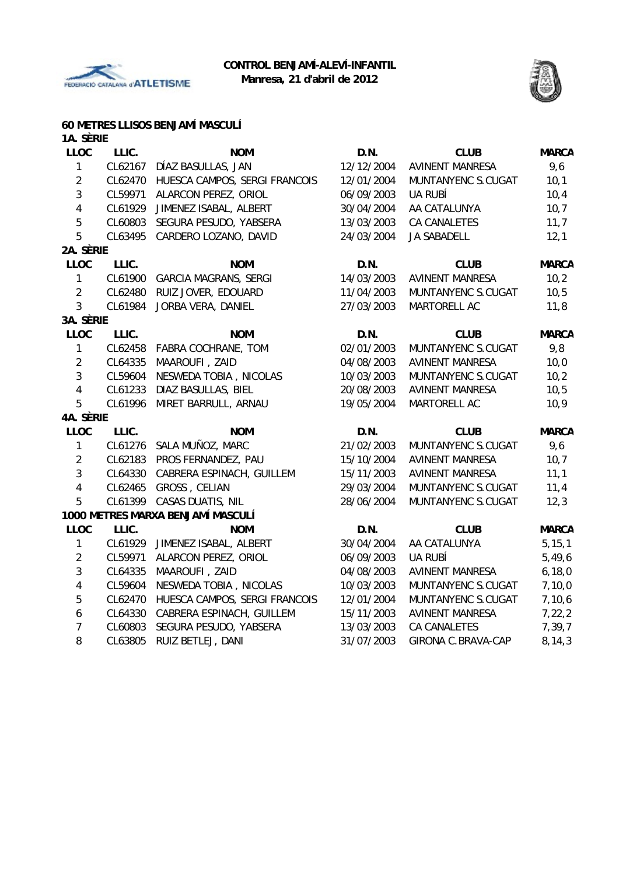



#### **60 METRES LLISOS BENJAMÍ MASCULÍ 1A. SÈRIE**

| 1A. SERIE               |         |                                   |            |                           |              |
|-------------------------|---------|-----------------------------------|------------|---------------------------|--------------|
| <b>LLOC</b>             | LLIC.   | <b>NOM</b>                        | D.N.       | <b>CLUB</b>               | <b>MARCA</b> |
| 1                       | CL62167 | DÍAZ BASULLAS, JAN                | 12/12/2004 | <b>AVINENT MANRESA</b>    | 9,6          |
| $\overline{2}$          | CL62470 | HUESCA CAMPOS, SERGI FRANCOIS     | 12/01/2004 | MUNTANYENC S.CUGAT        | 10,1         |
| $\mathfrak{Z}$          | CL59971 | ALARCON PEREZ, ORIOL              |            | <b>UA RUBÍ</b>            | 10,4         |
| $\overline{\mathbf{4}}$ | CL61929 | JIMENEZ ISABAL, ALBERT            | 30/04/2004 | AA CATALUNYA              | 10,7         |
| 5                       | CL60803 | SEGURA PESUDO, YABSERA            | 13/03/2003 | <b>CA CANALETES</b>       | 11,7         |
| 5                       | CL63495 | CARDERO LOZANO, DAVID             | 24/03/2004 | <b>JA SABADELL</b>        | 12,1         |
| 2A. SÈRIE               |         |                                   |            |                           |              |
| LLOC                    | LLIC.   | <b>NOM</b>                        | D.N.       | <b>CLUB</b>               | <b>MARCA</b> |
| $\mathbf{1}$            | CL61900 | <b>GARCIA MAGRANS, SERGI</b>      | 14/03/2003 | <b>AVINENT MANRESA</b>    | 10,2         |
| $\overline{2}$          | CL62480 | RUIZ JOVER, EDOUARD               | 11/04/2003 | MUNTANYENC S.CUGAT        | 10,5         |
| $\mathfrak{Z}$          | CL61984 | JORBA VERA, DANIEL                | 27/03/2003 | MARTORELL AC              | 11,8         |
| 3A. SÈRIE               |         |                                   |            |                           |              |
| <b>LLOC</b>             | LLIC.   | <b>NOM</b>                        | D.N.       | <b>CLUB</b>               | <b>MARCA</b> |
| $\mathbf{1}$            | CL62458 | FABRA COCHRANE, TOM               | 02/01/2003 | MUNTANYENC S.CUGAT        | 9,8          |
| $\overline{2}$          | CL64335 | MAAROUFI, ZAID                    | 04/08/2003 | <b>AVINENT MANRESA</b>    | 10,0         |
| $\mathbf{3}$            | CL59604 | NESWEDA TOBIA, NICOLAS            | 10/03/2003 | MUNTANYENC S.CUGAT        | 10,2         |
| $\overline{\mathbf{4}}$ | CL61233 | DIAZ BASULLAS, BIEL               | 20/08/2003 | <b>AVINENT MANRESA</b>    | 10,5         |
| 5                       | CL61996 | MIRET BARRULL, ARNAU              | 19/05/2004 | MARTORELL AC              | 10,9         |
| 4A. SÈRIE               |         |                                   |            |                           |              |
| <b>LLOC</b>             | LLIC.   | <b>NOM</b>                        | D.N.       | <b>CLUB</b>               | <b>MARCA</b> |
| 1                       | CL61276 | SALA MUÑOZ, MARC                  | 21/02/2003 | MUNTANYENC S.CUGAT        | 9,6          |
| $\overline{2}$          | CL62183 | PROS FERNANDEZ, PAU               | 15/10/2004 | <b>AVINENT MANRESA</b>    | 10,7         |
| 3                       | CL64330 | CABRERA ESPINACH, GUILLEM         | 15/11/2003 | <b>AVINENT MANRESA</b>    | 11,1         |
| 4                       | CL62465 | GROSS, CELIAN                     | 29/03/2004 | MUNTANYENC S.CUGAT        | 11,4         |
| 5                       | CL61399 | CASAS DUATIS, NIL                 | 28/06/2004 | MUNTANYENC S.CUGAT        | 12,3         |
|                         |         | 1000 METRES MARXA BENJAMÍ MASCULÍ |            |                           |              |
| <b>LLOC</b>             | LLIC.   | <b>NOM</b>                        | D.N.       | <b>CLUB</b>               | <b>MARCA</b> |
| 1                       | CL61929 | JIMENEZ ISABAL, ALBERT            | 30/04/2004 | AA CATALUNYA              | 5, 15, 1     |
| $\overline{2}$          | CL59971 | ALARCON PEREZ, ORIOL              | 06/09/2003 | <b>UA RUBÍ</b>            | 5,49,6       |
| $\mathbf{3}$            | CL64335 | MAAROUFI, ZAID                    | 04/08/2003 | <b>AVINENT MANRESA</b>    | 6, 18, 0     |
| 4                       | CL59604 | NESWEDA TOBIA, NICOLAS            | 10/03/2003 | MUNTANYENC S.CUGAT        | 7, 10, 0     |
| 5                       | CL62470 | HUESCA CAMPOS, SERGI FRANCOIS     | 12/01/2004 | MUNTANYENC S.CUGAT        | 7,10,6       |
| 6                       | CL64330 | CABRERA ESPINACH, GUILLEM         | 15/11/2003 | <b>AVINENT MANRESA</b>    | 7, 22, 2     |
| $\overline{7}$          | CL60803 | SEGURA PESUDO, YABSERA            | 13/03/2003 | <b>CA CANALETES</b>       | 7,39,7       |
| 8                       | CL63805 | RUIZ BETLEJ, DANI                 | 31/07/2003 | <b>GIRONA C.BRAVA-CAP</b> | 8, 14, 3     |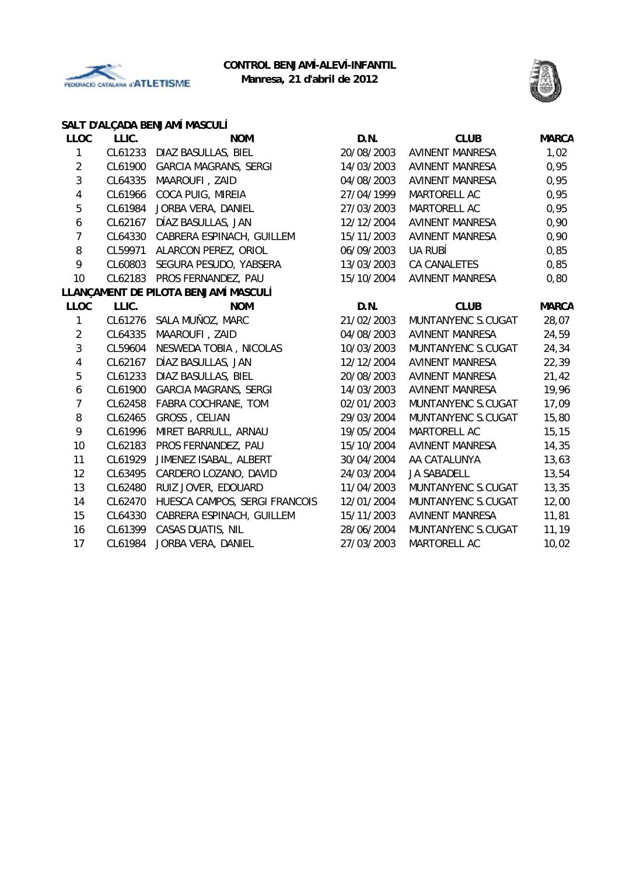



# **SALT D'ALÇADA BENJAMÍ MASCULÍ**

| <b>LLOC</b>    | LLIC.   | <b>NOM</b>                           | D.N.       | <b>CLUB</b>            | <b>MARCA</b> |
|----------------|---------|--------------------------------------|------------|------------------------|--------------|
| 1              | CL61233 | DIAZ BASULLAS, BIEL                  | 20/08/2003 | <b>AVINENT MANRESA</b> | 1,02         |
| $\overline{2}$ | CL61900 | <b>GARCIA MAGRANS, SERGI</b>         | 14/03/2003 | <b>AVINENT MANRESA</b> | 0,95         |
| 3              | CL64335 | MAAROUFI, ZAID                       | 04/08/2003 | <b>AVINENT MANRESA</b> | 0,95         |
| 4              | CL61966 | COCA PUIG, MIREIA                    | 27/04/1999 | MARTORELL AC           | 0,95         |
| 5              | CL61984 | JORBA VERA, DANIEL                   | 27/03/2003 | MARTORELL AC           | 0,95         |
| 6              | CL62167 | DÍAZ BASULLAS, JAN                   | 12/12/2004 | <b>AVINENT MANRESA</b> | 0,90         |
| 7              | CL64330 | CABRERA ESPINACH, GUILLEM            | 15/11/2003 | <b>AVINENT MANRESA</b> | 0,90         |
| 8              | CL59971 | ALARCON PEREZ, ORIOL                 | 06/09/2003 | <b>UA RUBÍ</b>         | 0,85         |
| 9              | CL60803 | SEGURA PESUDO, YABSERA               | 13/03/2003 | CA CANALETES           | 0,85         |
| 10             | CL62183 | PROS FERNANDEZ, PAU                  | 15/10/2004 | <b>AVINENT MANRESA</b> | 0,80         |
|                |         | LLANÇAMENT DE PILOTA BENJAMÍ MASCULÍ |            |                        |              |
| <b>LLOC</b>    | LLIC.   | <b>NOM</b>                           | D.N.       | <b>CLUB</b>            | <b>MARCA</b> |
| 1              |         | CL61276 SALA MUÑOZ, MARC             | 21/02/2003 | MUNTANYENC S.CUGAT     | 28,07        |
| $\overline{2}$ | CL64335 | MAAROUFI, ZAID                       | 04/08/2003 | <b>AVINENT MANRESA</b> | 24,59        |
| 3              | CL59604 | NESWEDA TOBIA, NICOLAS               | 10/03/2003 | MUNTANYENC S.CUGAT     | 24,34        |
| 4              | CL62167 | DÍAZ BASULLAS, JAN                   | 12/12/2004 | AVINENT MANRESA        | 22,39        |
| 5              | CL61233 | DIAZ BASULLAS, BIEL                  | 20/08/2003 | <b>AVINENT MANRESA</b> | 21,42        |
| 6              | CL61900 | <b>GARCIA MAGRANS, SERGI</b>         | 14/03/2003 | <b>AVINENT MANRESA</b> | 19,96        |
| 7              | CL62458 | FABRA COCHRANE, TOM                  | 02/01/2003 | MUNTANYENC S.CUGAT     | 17,09        |
| 8              | CL62465 | GROSS, CELIAN                        | 29/03/2004 | MUNTANYENC S.CUGAT     | 15,80        |
| 9              | CL61996 | MIRET BARRULL, ARNAU                 | 19/05/2004 | MARTORELL AC           | 15, 15       |
| 10             | CL62183 | PROS FERNANDEZ, PAU                  | 15/10/2004 | <b>AVINENT MANRESA</b> | 14,35        |
| 11             | CL61929 | JIMENEZ ISABAL, ALBERT               | 30/04/2004 | AA CATALUNYA           | 13,63        |
| 12             | CL63495 | CARDERO LOZANO, DAVID                | 24/03/2004 | <b>JA SABADELL</b>     | 13,54        |
| 13             | CL62480 | RUIZ JOVER, EDOUARD                  | 11/04/2003 | MUNTANYENC S.CUGAT     | 13,35        |
| 14             | CL62470 | HUESCA CAMPOS, SERGI FRANCOIS        | 12/01/2004 | MUNTANYENC S.CUGAT     | 12,00        |
| 15             | CL64330 | CABRERA ESPINACH, GUILLEM            | 15/11/2003 | <b>AVINENT MANRESA</b> | 11,81        |
| 16             | CL61399 | <b>CASAS DUATIS, NIL</b>             | 28/06/2004 | MUNTANYENC S.CUGAT     | 11,19        |
| 17             | CL61984 | JORBA VERA, DANIEL                   | 27/03/2003 | MARTORELL AC           | 10,02        |